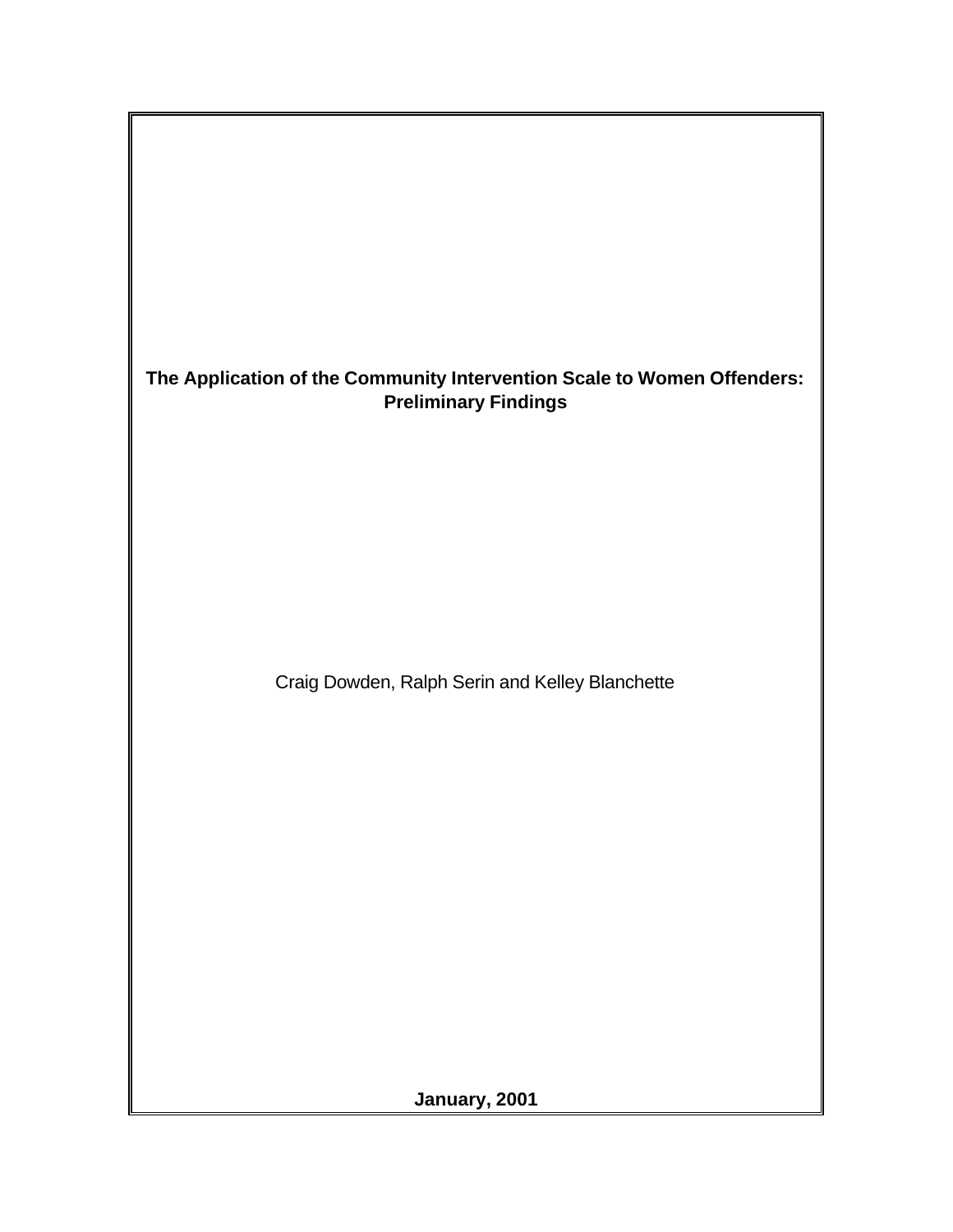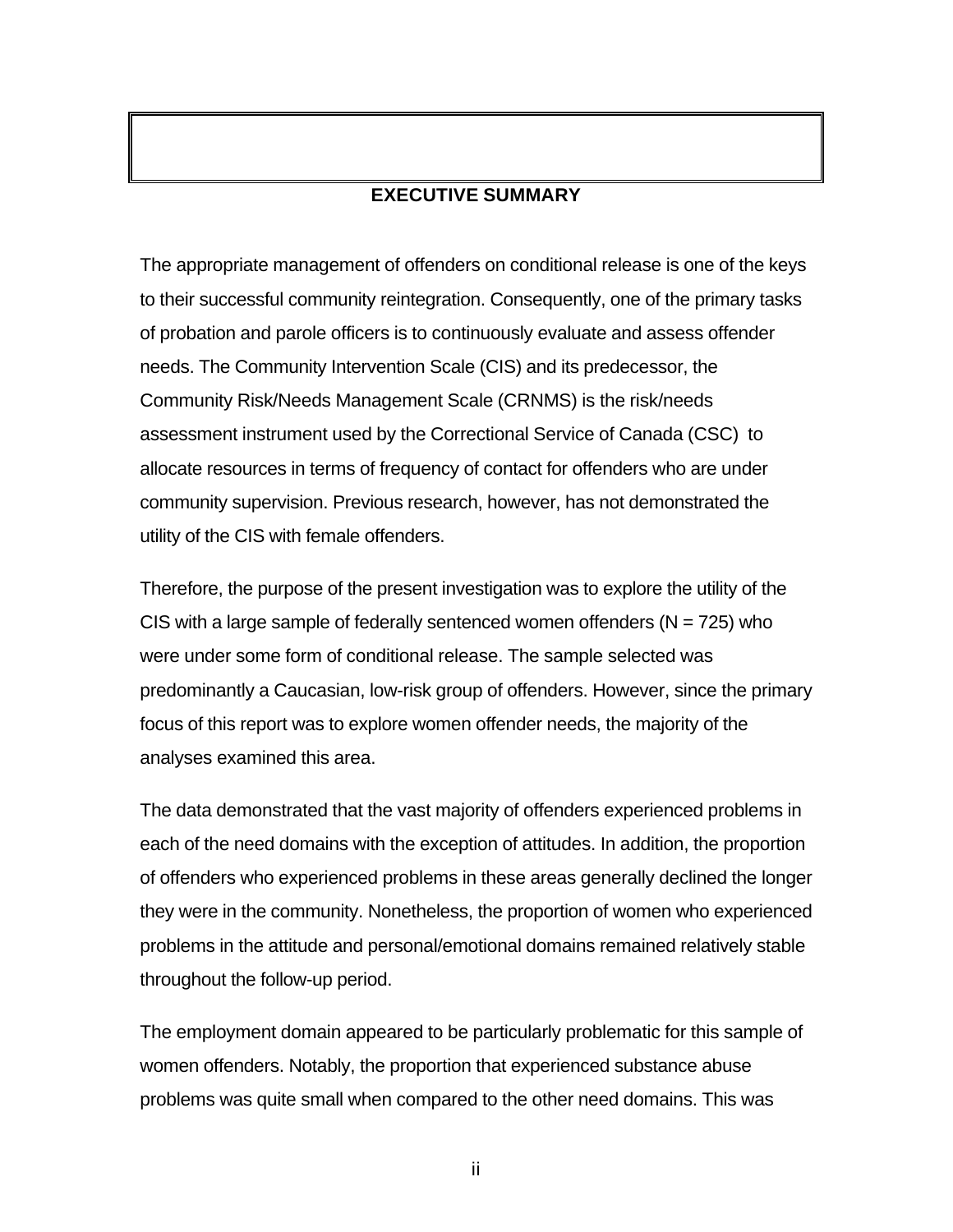### **EXECUTIVE SUMMARY**

The appropriate management of offenders on conditional release is one of the keys to their successful community reintegration. Consequently, one of the primary tasks of probation and parole officers is to continuously evaluate and assess offender needs. The Community Intervention Scale (CIS) and its predecessor, the Community Risk/Needs Management Scale (CRNMS) is the risk/needs assessment instrument used by the Correctional Service of Canada (CSC) to allocate resources in terms of frequency of contact for offenders who are under community supervision. Previous research, however, has not demonstrated the utility of the CIS with female offenders.

Therefore, the purpose of the present investigation was to explore the utility of the CIS with a large sample of federally sentenced women offenders ( $N = 725$ ) who were under some form of conditional release. The sample selected was predominantly a Caucasian, low-risk group of offenders. However, since the primary focus of this report was to explore women offender needs, the majority of the analyses examined this area.

The data demonstrated that the vast majority of offenders experienced problems in each of the need domains with the exception of attitudes. In addition, the proportion of offenders who experienced problems in these areas generally declined the longer they were in the community. Nonetheless, the proportion of women who experienced problems in the attitude and personal/emotional domains remained relatively stable throughout the follow-up period.

The employment domain appeared to be particularly problematic for this sample of women offenders. Notably, the proportion that experienced substance abuse problems was quite small when compared to the other need domains. This was

ii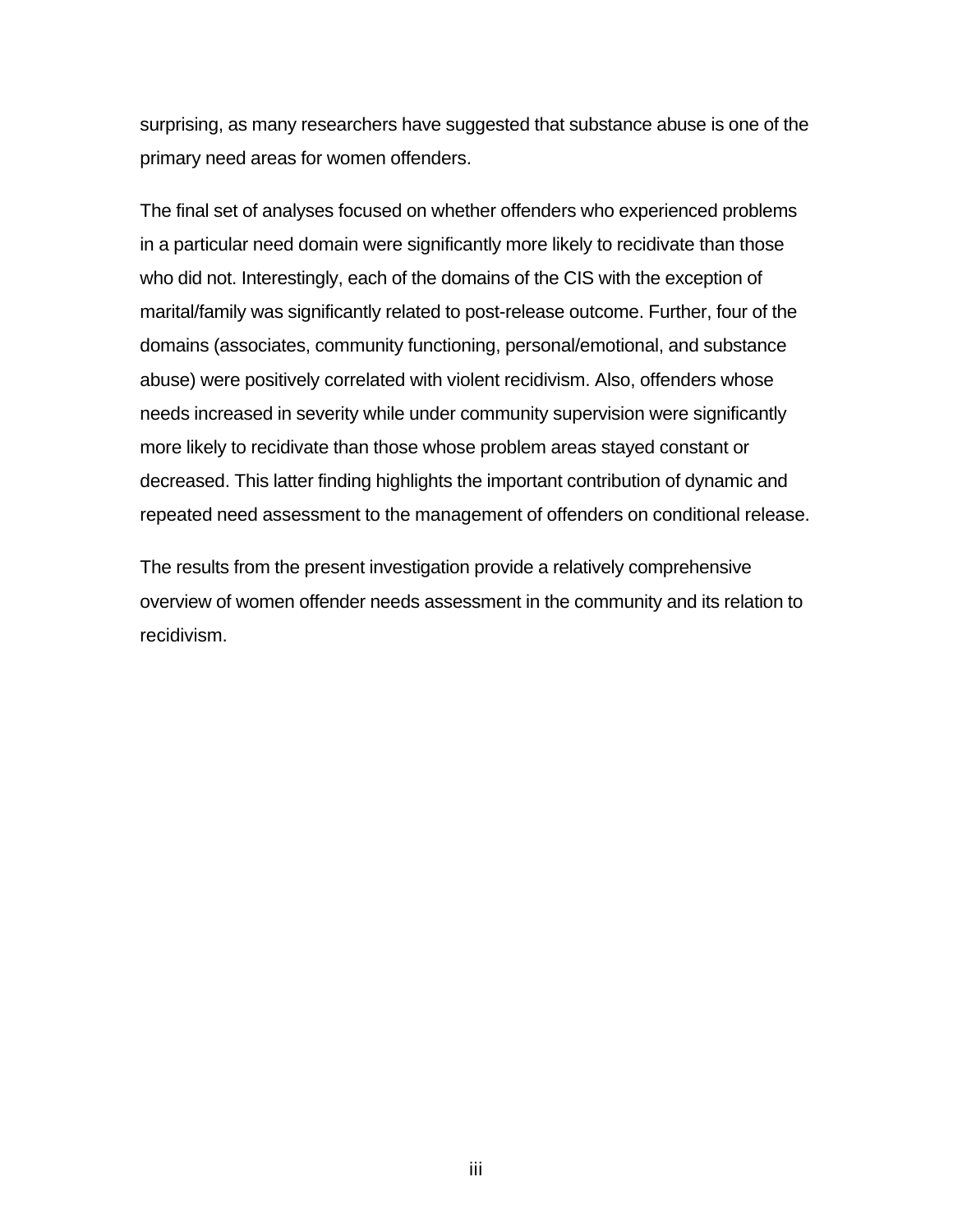surprising, as many researchers have suggested that substance abuse is one of the primary need areas for women offenders.

The final set of analyses focused on whether offenders who experienced problems in a particular need domain were significantly more likely to recidivate than those who did not. Interestingly, each of the domains of the CIS with the exception of marital/family was significantly related to post-release outcome. Further, four of the domains (associates, community functioning, personal/emotional, and substance abuse) were positively correlated with violent recidivism. Also, offenders whose needs increased in severity while under community supervision were significantly more likely to recidivate than those whose problem areas stayed constant or decreased. This latter finding highlights the important contribution of dynamic and repeated need assessment to the management of offenders on conditional release.

The results from the present investigation provide a relatively comprehensive overview of women offender needs assessment in the community and its relation to recidivism.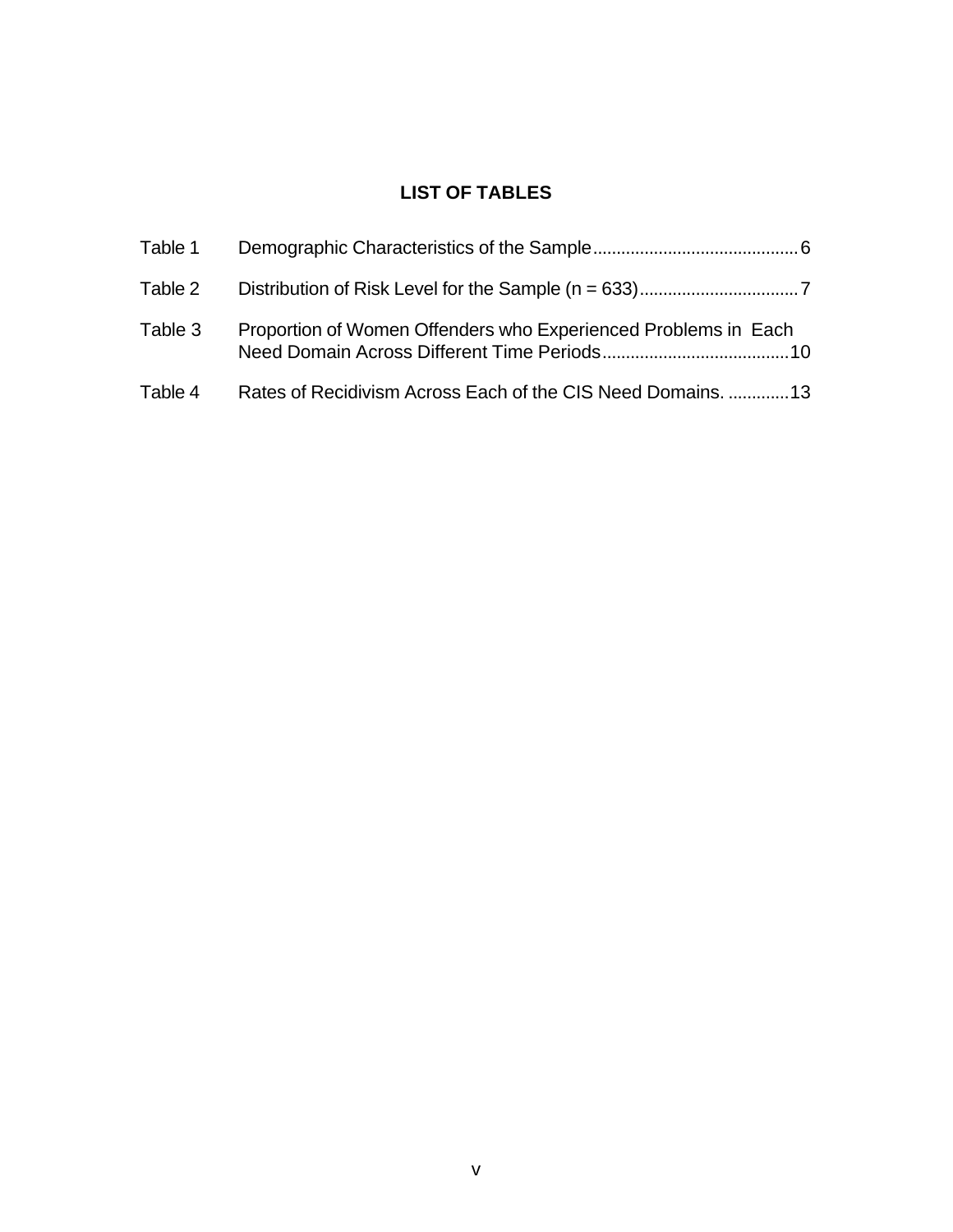# **LIST OF TABLES**

| Table 1 |                                                                |  |
|---------|----------------------------------------------------------------|--|
| Table 2 |                                                                |  |
| Table 3 | Proportion of Women Offenders who Experienced Problems in Each |  |
| Table 4 | Rates of Recidivism Across Each of the CIS Need Domains.  13   |  |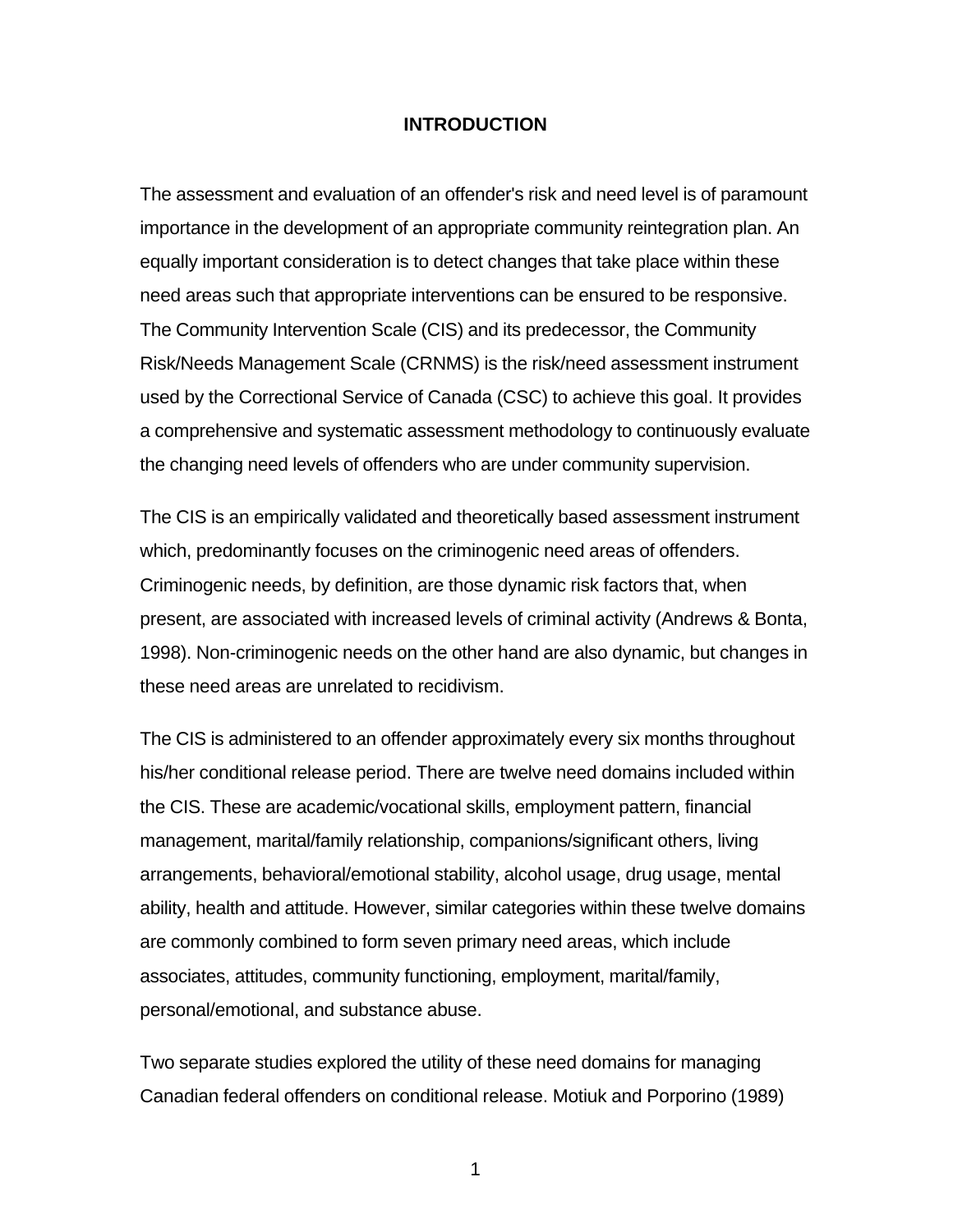#### **INTRODUCTION**

The assessment and evaluation of an offender's risk and need level is of paramount importance in the development of an appropriate community reintegration plan. An equally important consideration is to detect changes that take place within these need areas such that appropriate interventions can be ensured to be responsive. The Community Intervention Scale (CIS) and its predecessor, the Community Risk/Needs Management Scale (CRNMS) is the risk/need assessment instrument used by the Correctional Service of Canada (CSC) to achieve this goal. It provides a comprehensive and systematic assessment methodology to continuously evaluate the changing need levels of offenders who are under community supervision.

The CIS is an empirically validated and theoretically based assessment instrument which, predominantly focuses on the criminogenic need areas of offenders. Criminogenic needs, by definition, are those dynamic risk factors that, when present, are associated with increased levels of criminal activity (Andrews & Bonta, 1998). Non-criminogenic needs on the other hand are also dynamic, but changes in these need areas are unrelated to recidivism.

The CIS is administered to an offender approximately every six months throughout his/her conditional release period. There are twelve need domains included within the CIS. These are academic/vocational skills, employment pattern, financial management, marital/family relationship, companions/significant others, living arrangements, behavioral/emotional stability, alcohol usage, drug usage, mental ability, health and attitude. However, similar categories within these twelve domains are commonly combined to form seven primary need areas, which include associates, attitudes, community functioning, employment, marital/family, personal/emotional, and substance abuse.

Two separate studies explored the utility of these need domains for managing Canadian federal offenders on conditional release. Motiuk and Porporino (1989)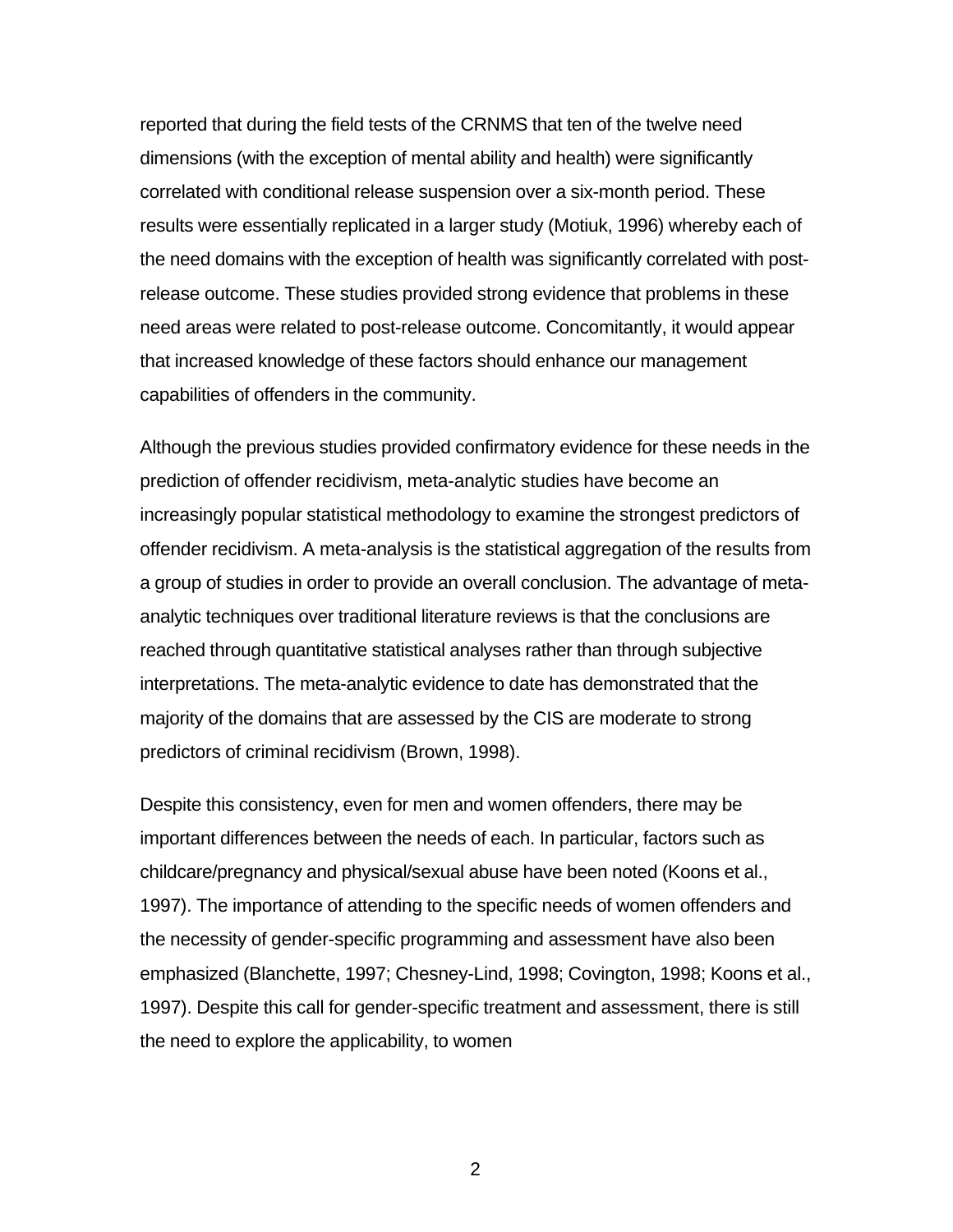reported that during the field tests of the CRNMS that ten of the twelve need dimensions (with the exception of mental ability and health) were significantly correlated with conditional release suspension over a six-month period. These results were essentially replicated in a larger study (Motiuk, 1996) whereby each of the need domains with the exception of health was significantly correlated with postrelease outcome. These studies provided strong evidence that problems in these need areas were related to post-release outcome. Concomitantly, it would appear that increased knowledge of these factors should enhance our management capabilities of offenders in the community.

Although the previous studies provided confirmatory evidence for these needs in the prediction of offender recidivism, meta-analytic studies have become an increasingly popular statistical methodology to examine the strongest predictors of offender recidivism. A meta-analysis is the statistical aggregation of the results from a group of studies in order to provide an overall conclusion. The advantage of metaanalytic techniques over traditional literature reviews is that the conclusions are reached through quantitative statistical analyses rather than through subjective interpretations. The meta-analytic evidence to date has demonstrated that the majority of the domains that are assessed by the CIS are moderate to strong predictors of criminal recidivism (Brown, 1998).

Despite this consistency, even for men and women offenders, there may be important differences between the needs of each. In particular, factors such as childcare/pregnancy and physical/sexual abuse have been noted (Koons et al., 1997). The importance of attending to the specific needs of women offenders and the necessity of gender-specific programming and assessment have also been emphasized (Blanchette, 1997; Chesney-Lind, 1998; Covington, 1998; Koons et al., 1997). Despite this call for gender-specific treatment and assessment, there is still the need to explore the applicability, to women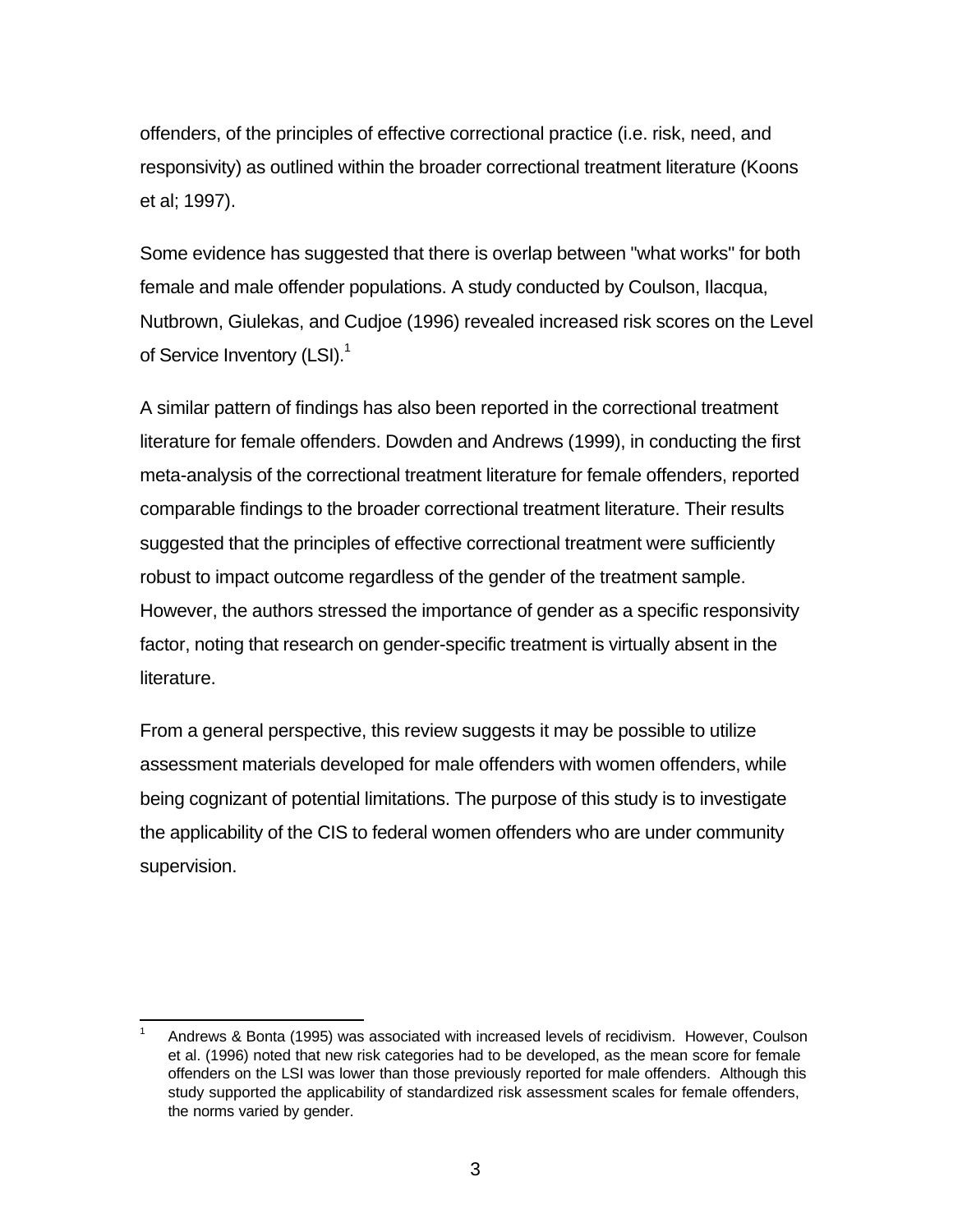offenders, of the principles of effective correctional practice (i.e. risk, need, and responsivity) as outlined within the broader correctional treatment literature (Koons et al; 1997).

Some evidence has suggested that there is overlap between "what works" for both female and male offender populations. A study conducted by Coulson, Ilacqua, Nutbrown, Giulekas, and Cudjoe (1996) revealed increased risk scores on the Level of Service Inventory (LSI).<sup>1</sup>

A similar pattern of findings has also been reported in the correctional treatment literature for female offenders. Dowden and Andrews (1999), in conducting the first meta-analysis of the correctional treatment literature for female offenders, reported comparable findings to the broader correctional treatment literature. Their results suggested that the principles of effective correctional treatment were sufficiently robust to impact outcome regardless of the gender of the treatment sample. However, the authors stressed the importance of gender as a specific responsivity factor, noting that research on gender-specific treatment is virtually absent in the literature.

From a general perspective, this review suggests it may be possible to utilize assessment materials developed for male offenders with women offenders, while being cognizant of potential limitations. The purpose of this study is to investigate the applicability of the CIS to federal women offenders who are under community supervision.

l

Andrews & Bonta (1995) was associated with increased levels of recidivism. However, Coulson et al. (1996) noted that new risk categories had to be developed, as the mean score for female offenders on the LSI was lower than those previously reported for male offenders. Although this study supported the applicability of standardized risk assessment scales for female offenders, the norms varied by gender.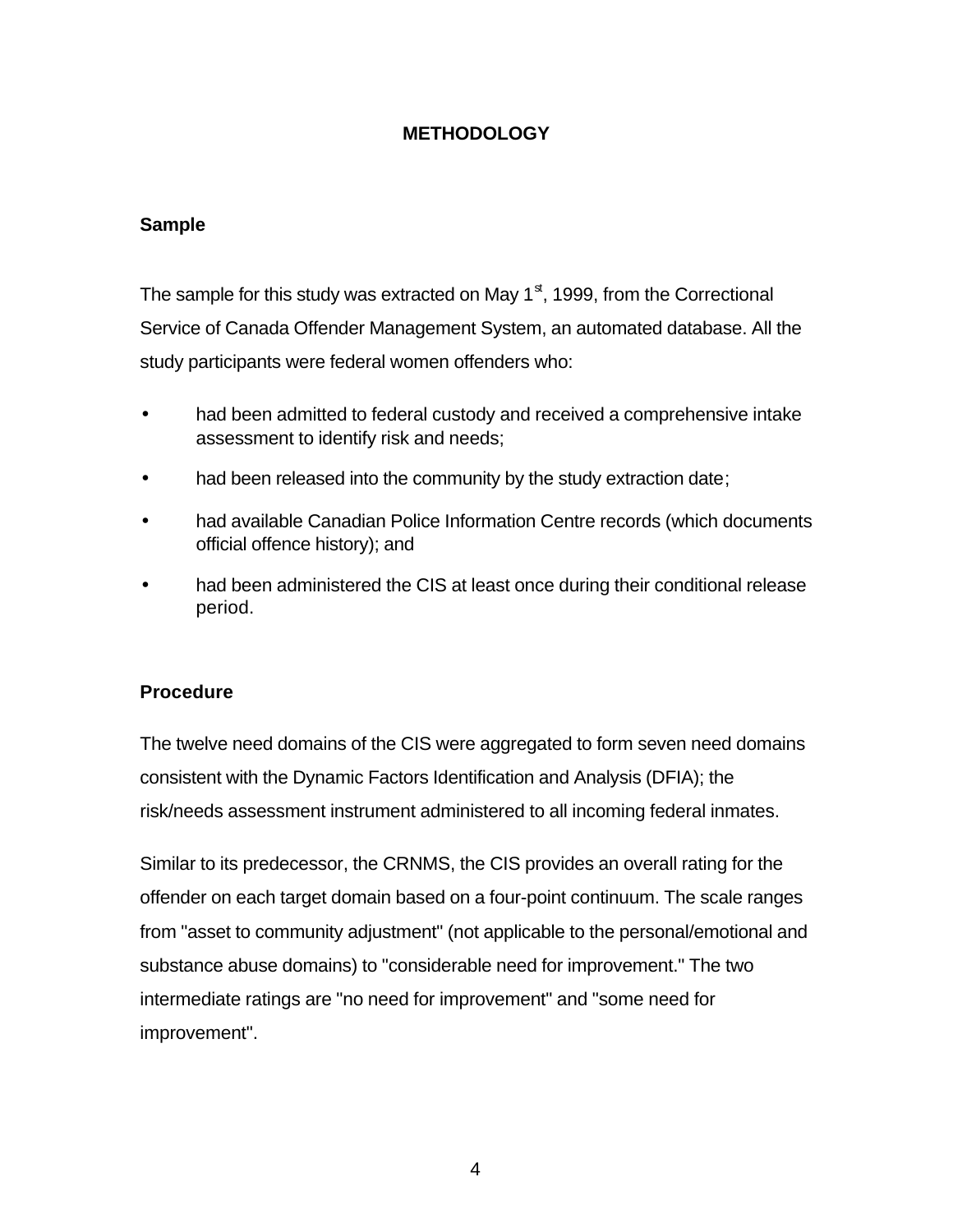## **METHODOLOGY**

### **Sample**

The sample for this study was extracted on May  $1<sup>st</sup>$ , 1999, from the Correctional Service of Canada Offender Management System, an automated database. All the study participants were federal women offenders who:

- had been admitted to federal custody and received a comprehensive intake assessment to identify risk and needs;
- had been released into the community by the study extraction date;
- had available Canadian Police Information Centre records (which documents official offence history); and
- had been administered the CIS at least once during their conditional release period.

### **Procedure**

The twelve need domains of the CIS were aggregated to form seven need domains consistent with the Dynamic Factors Identification and Analysis (DFIA); the risk/needs assessment instrument administered to all incoming federal inmates.

Similar to its predecessor, the CRNMS, the CIS provides an overall rating for the offender on each target domain based on a four-point continuum. The scale ranges from "asset to community adjustment" (not applicable to the personal/emotional and substance abuse domains) to "considerable need for improvement." The two intermediate ratings are "no need for improvement" and "some need for improvement".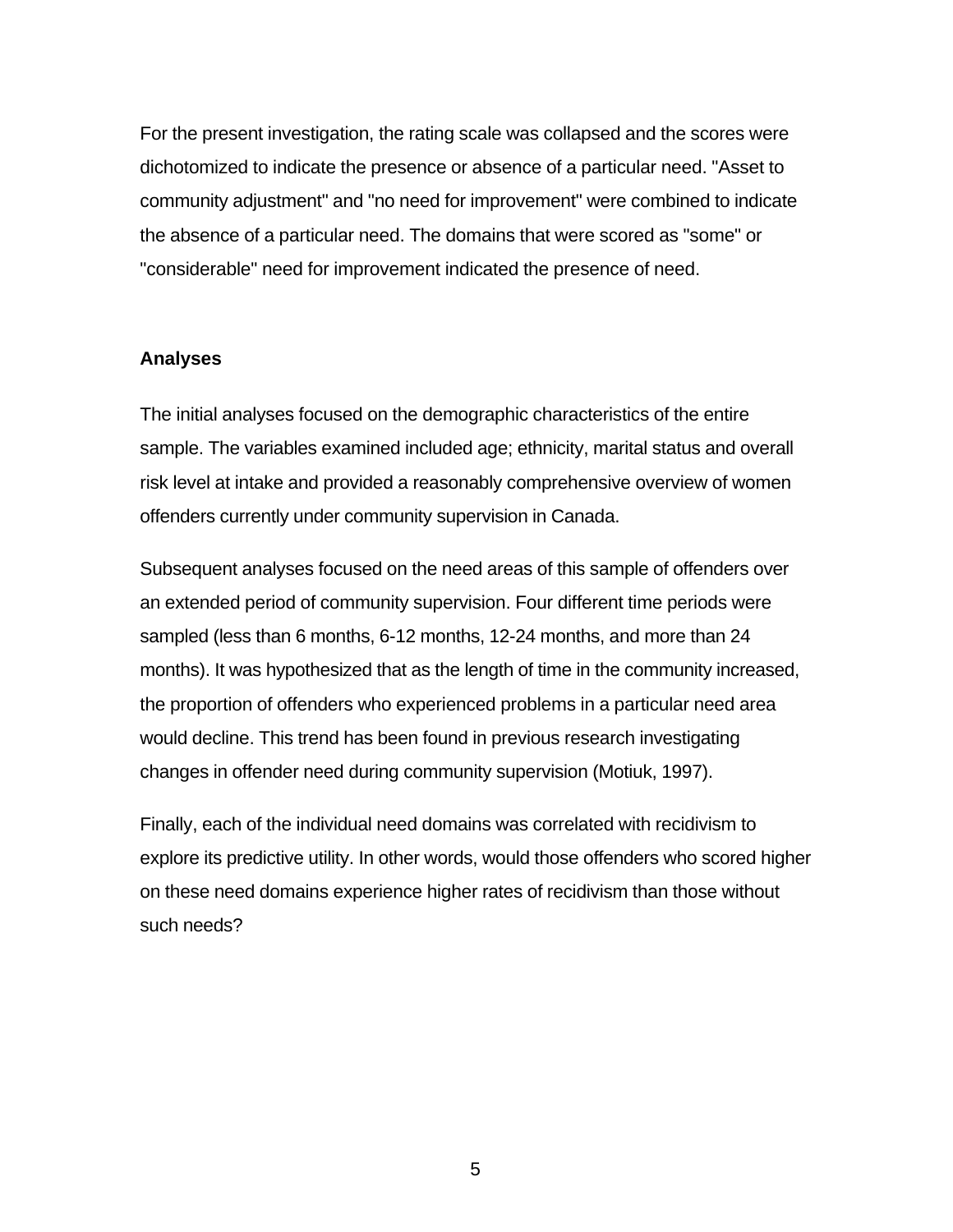For the present investigation, the rating scale was collapsed and the scores were dichotomized to indicate the presence or absence of a particular need. "Asset to community adjustment" and "no need for improvement" were combined to indicate the absence of a particular need. The domains that were scored as "some" or "considerable" need for improvement indicated the presence of need.

### **Analyses**

The initial analyses focused on the demographic characteristics of the entire sample. The variables examined included age; ethnicity, marital status and overall risk level at intake and provided a reasonably comprehensive overview of women offenders currently under community supervision in Canada.

Subsequent analyses focused on the need areas of this sample of offenders over an extended period of community supervision. Four different time periods were sampled (less than 6 months, 6-12 months, 12-24 months, and more than 24 months). It was hypothesized that as the length of time in the community increased, the proportion of offenders who experienced problems in a particular need area would decline. This trend has been found in previous research investigating changes in offender need during community supervision (Motiuk, 1997).

Finally, each of the individual need domains was correlated with recidivism to explore its predictive utility. In other words, would those offenders who scored higher on these need domains experience higher rates of recidivism than those without such needs?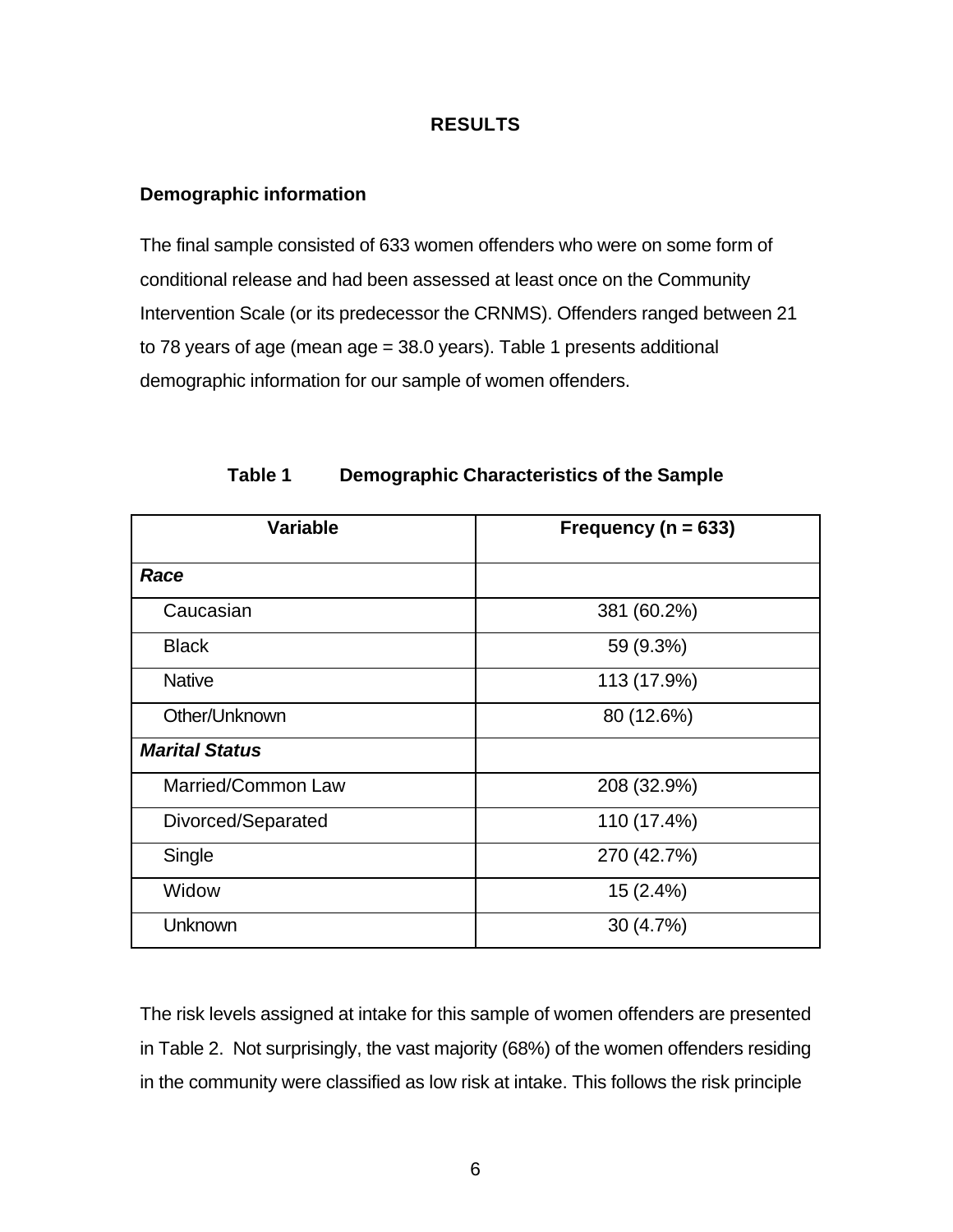### **RESULTS**

### **Demographic information**

The final sample consisted of 633 women offenders who were on some form of conditional release and had been assessed at least once on the Community Intervention Scale (or its predecessor the CRNMS). Offenders ranged between 21 to 78 years of age (mean age = 38.0 years). Table 1 presents additional demographic information for our sample of women offenders.

| <b>Variable</b>           | Frequency ( $n = 633$ ) |  |  |
|---------------------------|-------------------------|--|--|
| Race                      |                         |  |  |
| Caucasian                 | 381 (60.2%)             |  |  |
| <b>Black</b>              | 59 (9.3%)               |  |  |
| <b>Native</b>             | 113 (17.9%)             |  |  |
| Other/Unknown             | 80 (12.6%)              |  |  |
| <b>Marital Status</b>     |                         |  |  |
| <b>Married/Common Law</b> | 208 (32.9%)             |  |  |
| Divorced/Separated        | 110 (17.4%)             |  |  |
| Single                    | 270 (42.7%)             |  |  |
| Widow                     | 15 (2.4%)               |  |  |
| Unknown                   | 30 (4.7%)               |  |  |

**Table 1 Demographic Characteristics of the Sample**

The risk levels assigned at intake for this sample of women offenders are presented in Table 2. Not surprisingly, the vast majority (68%) of the women offenders residing in the community were classified as low risk at intake. This follows the risk principle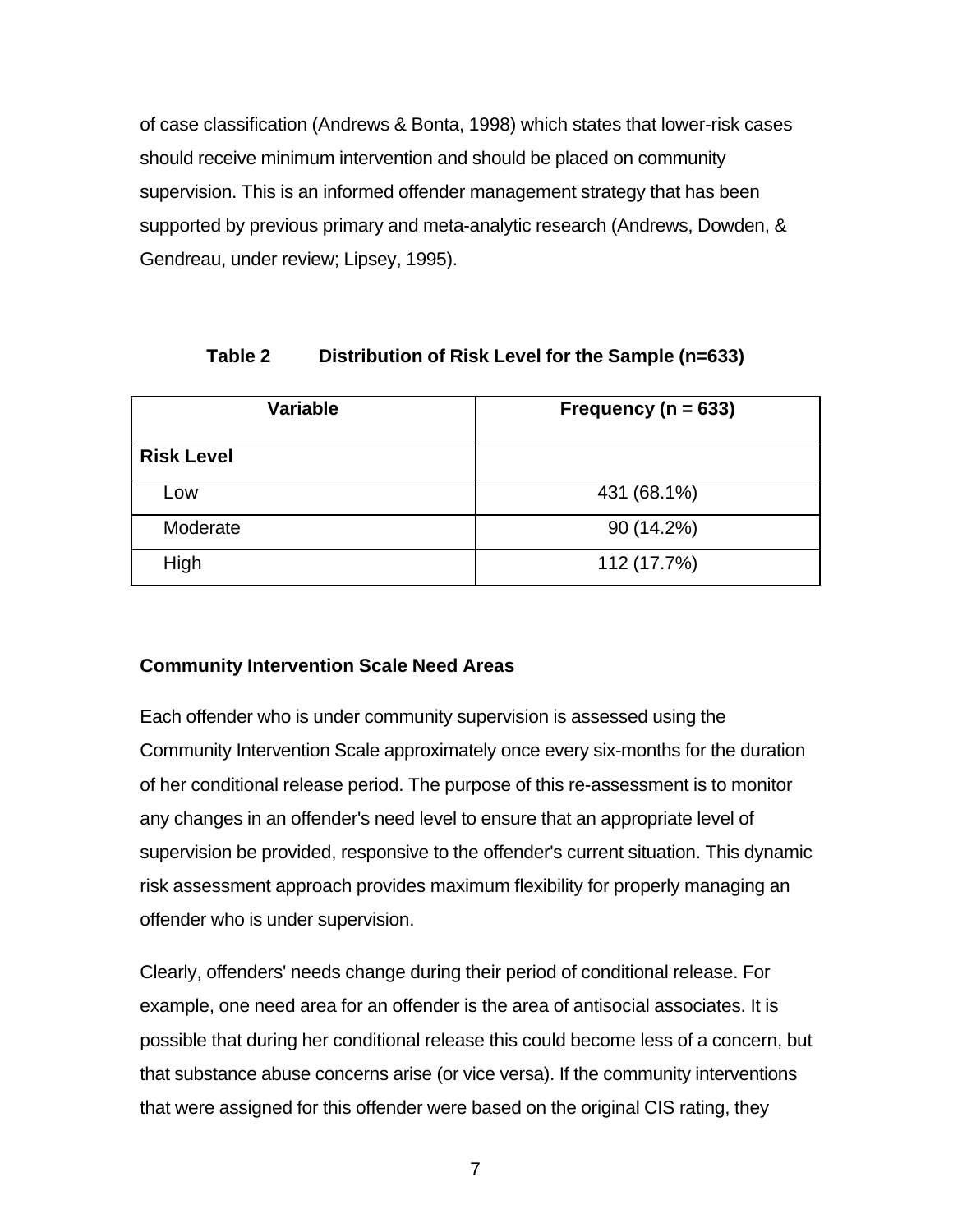of case classification (Andrews & Bonta, 1998) which states that lower-risk cases should receive minimum intervention and should be placed on community supervision. This is an informed offender management strategy that has been supported by previous primary and meta-analytic research (Andrews, Dowden, & Gendreau, under review; Lipsey, 1995).

### **Table 2 Distribution of Risk Level for the Sample (n=633)**

| <b>Variable</b>   | Frequency ( $n = 633$ ) |  |
|-------------------|-------------------------|--|
| <b>Risk Level</b> |                         |  |
| Low               | 431 (68.1%)             |  |
| Moderate          | 90 (14.2%)              |  |
| High              | 112 (17.7%)             |  |

## **Community Intervention Scale Need Areas**

Each offender who is under community supervision is assessed using the Community Intervention Scale approximately once every six-months for the duration of her conditional release period. The purpose of this re-assessment is to monitor any changes in an offender's need level to ensure that an appropriate level of supervision be provided, responsive to the offender's current situation. This dynamic risk assessment approach provides maximum flexibility for properly managing an offender who is under supervision.

Clearly, offenders' needs change during their period of conditional release. For example, one need area for an offender is the area of antisocial associates. It is possible that during her conditional release this could become less of a concern, but that substance abuse concerns arise (or vice versa). If the community interventions that were assigned for this offender were based on the original CIS rating, they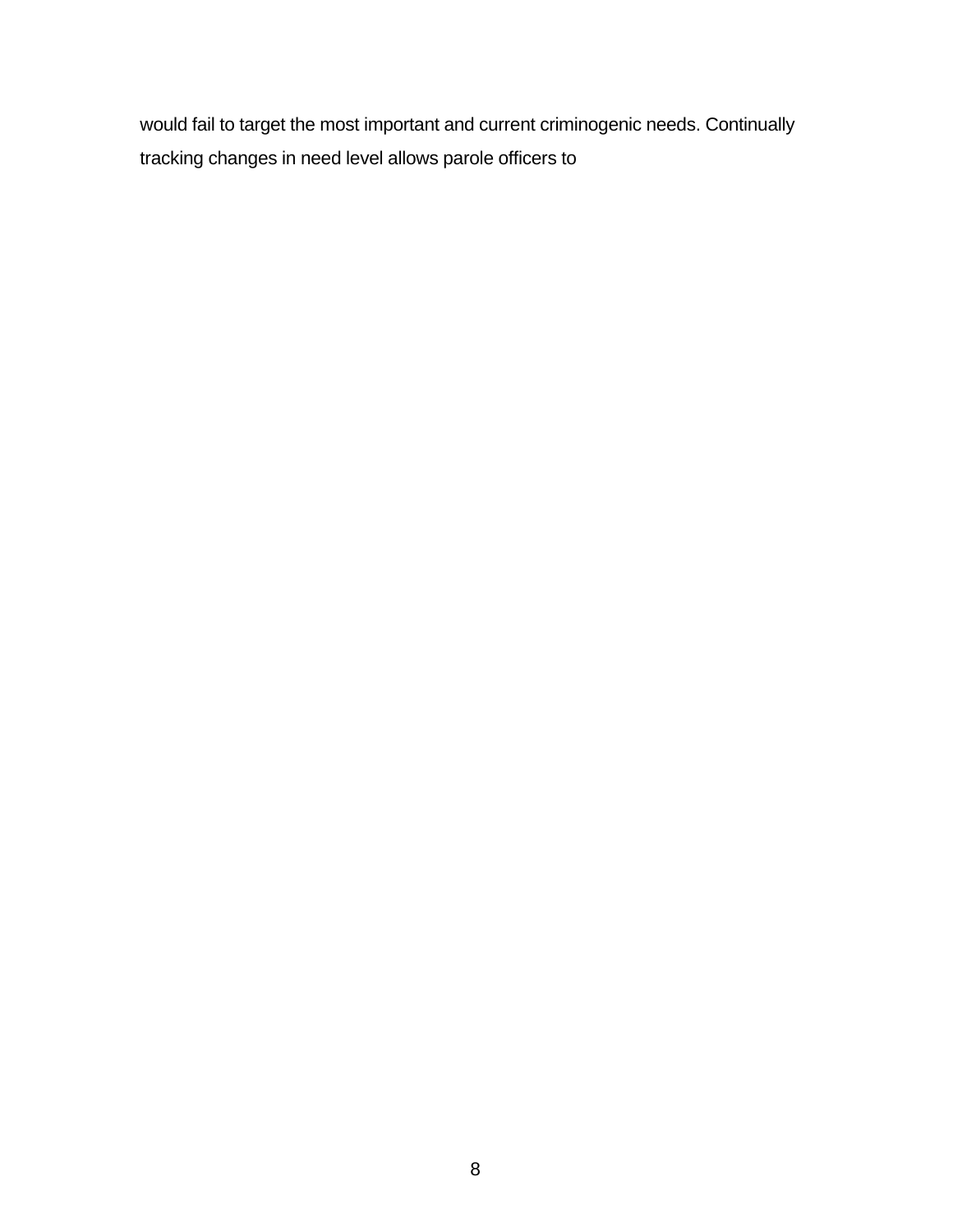would fail to target the most important and current criminogenic needs. Continually tracking changes in need level allows parole officers to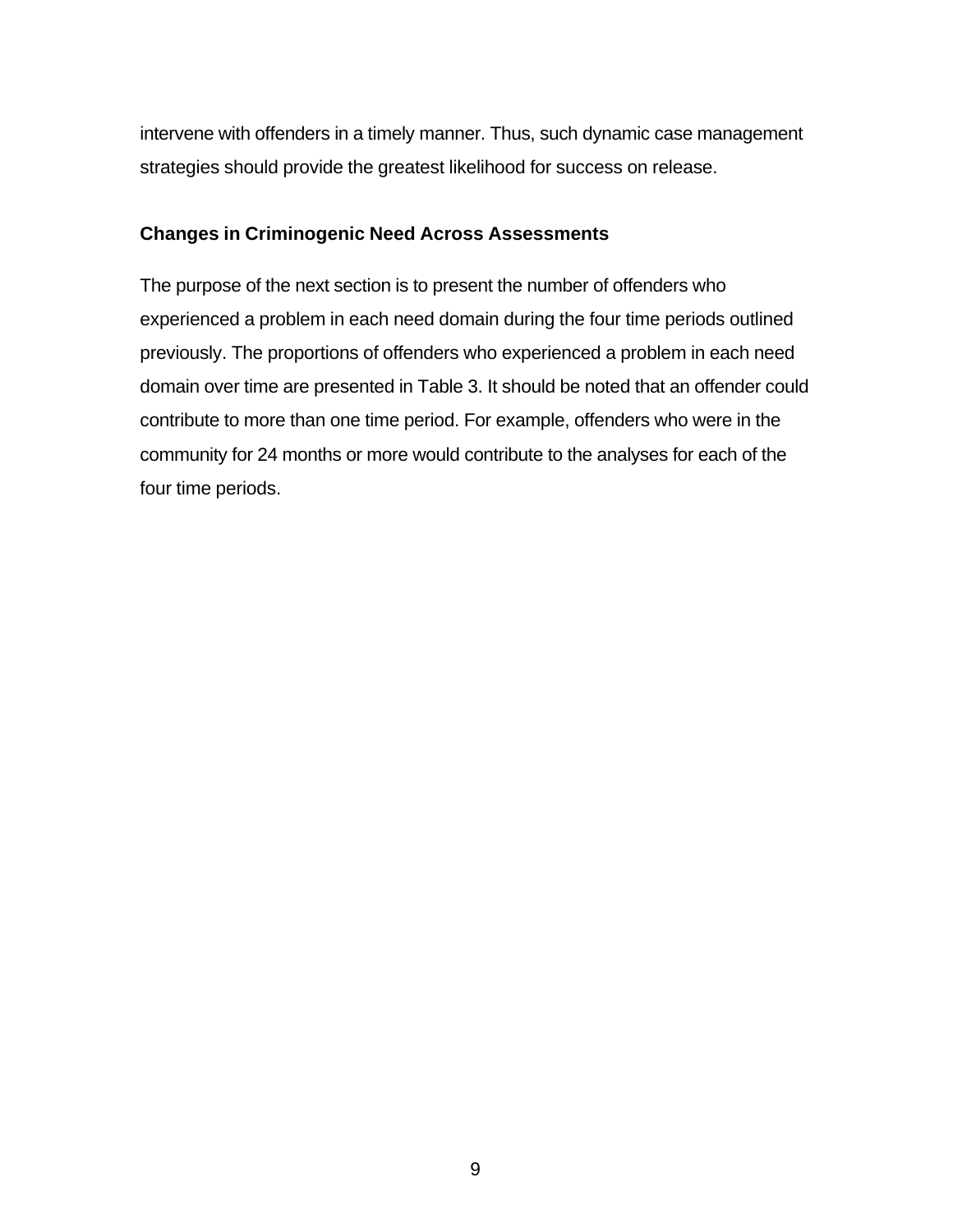intervene with offenders in a timely manner. Thus, such dynamic case management strategies should provide the greatest likelihood for success on release.

### **Changes in Criminogenic Need Across Assessments**

The purpose of the next section is to present the number of offenders who experienced a problem in each need domain during the four time periods outlined previously. The proportions of offenders who experienced a problem in each need domain over time are presented in Table 3. It should be noted that an offender could contribute to more than one time period. For example, offenders who were in the community for 24 months or more would contribute to the analyses for each of the four time periods.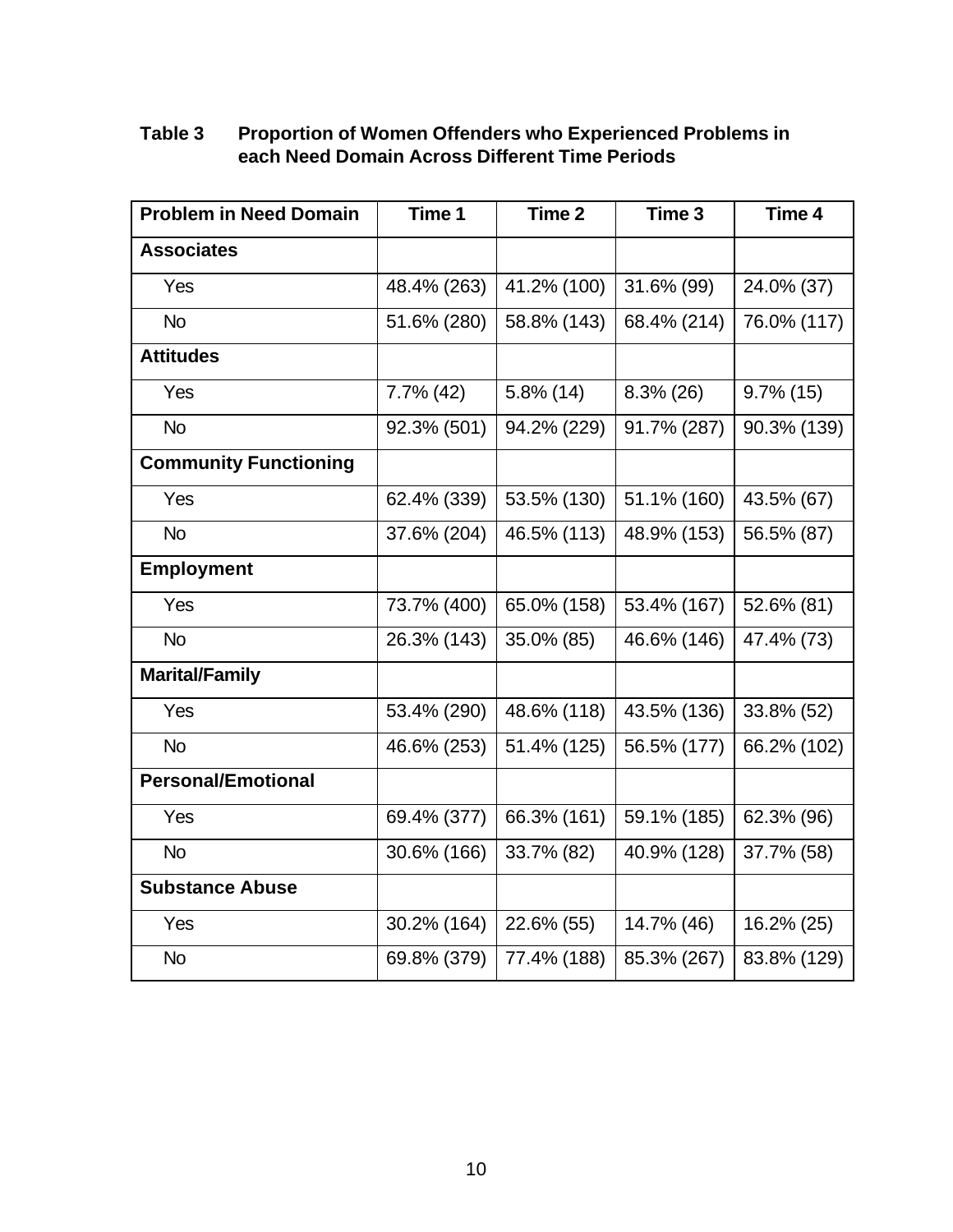# **Table 3 Proportion of Women Offenders who Experienced Problems in each Need Domain Across Different Time Periods**

| <b>Problem in Need Domain</b> | Time 1       | Time 2       | Time 3       | Time 4       |
|-------------------------------|--------------|--------------|--------------|--------------|
| <b>Associates</b>             |              |              |              |              |
| Yes                           | 48.4% (263)  | 41.2% (100)  | 31.6% (99)   | 24.0% (37)   |
| <b>No</b>                     | 51.6% (280)  | 58.8% (143)  | 68.4% (214)  | 76.0% (117)  |
| <b>Attitudes</b>              |              |              |              |              |
| Yes                           | $7.7\%$ (42) | $5.8\%$ (14) | $8.3\%$ (26) | $9.7\%$ (15) |
| <b>No</b>                     | 92.3% (501)  | 94.2% (229)  | 91.7% (287)  | 90.3% (139)  |
| <b>Community Functioning</b>  |              |              |              |              |
| Yes                           | 62.4% (339)  | 53.5% (130)  | 51.1% (160)  | 43.5% (67)   |
| <b>No</b>                     | 37.6% (204)  | 46.5% (113)  | 48.9% (153)  | 56.5% (87)   |
| <b>Employment</b>             |              |              |              |              |
| Yes                           | 73.7% (400)  | 65.0% (158)  | 53.4% (167)  | 52.6% (81)   |
| <b>No</b>                     | 26.3% (143)  | 35.0% (85)   | 46.6% (146)  | 47.4% (73)   |
| <b>Marital/Family</b>         |              |              |              |              |
| Yes                           | 53.4% (290)  | 48.6% (118)  | 43.5% (136)  | 33.8% (52)   |
| <b>No</b>                     | 46.6% (253)  | 51.4% (125)  | 56.5% (177)  | 66.2% (102)  |
| <b>Personal/Emotional</b>     |              |              |              |              |
| Yes                           | 69.4% (377)  | 66.3% (161)  | 59.1% (185)  | 62.3% (96)   |
| <b>No</b>                     | 30.6% (166)  | 33.7% (82)   | 40.9% (128)  | 37.7% (58)   |
| <b>Substance Abuse</b>        |              |              |              |              |
| Yes                           | 30.2% (164)  | 22.6% (55)   | 14.7% (46)   | 16.2% (25)   |
| <b>No</b>                     | 69.8% (379)  | 77.4% (188)  | 85.3% (267)  | 83.8% (129)  |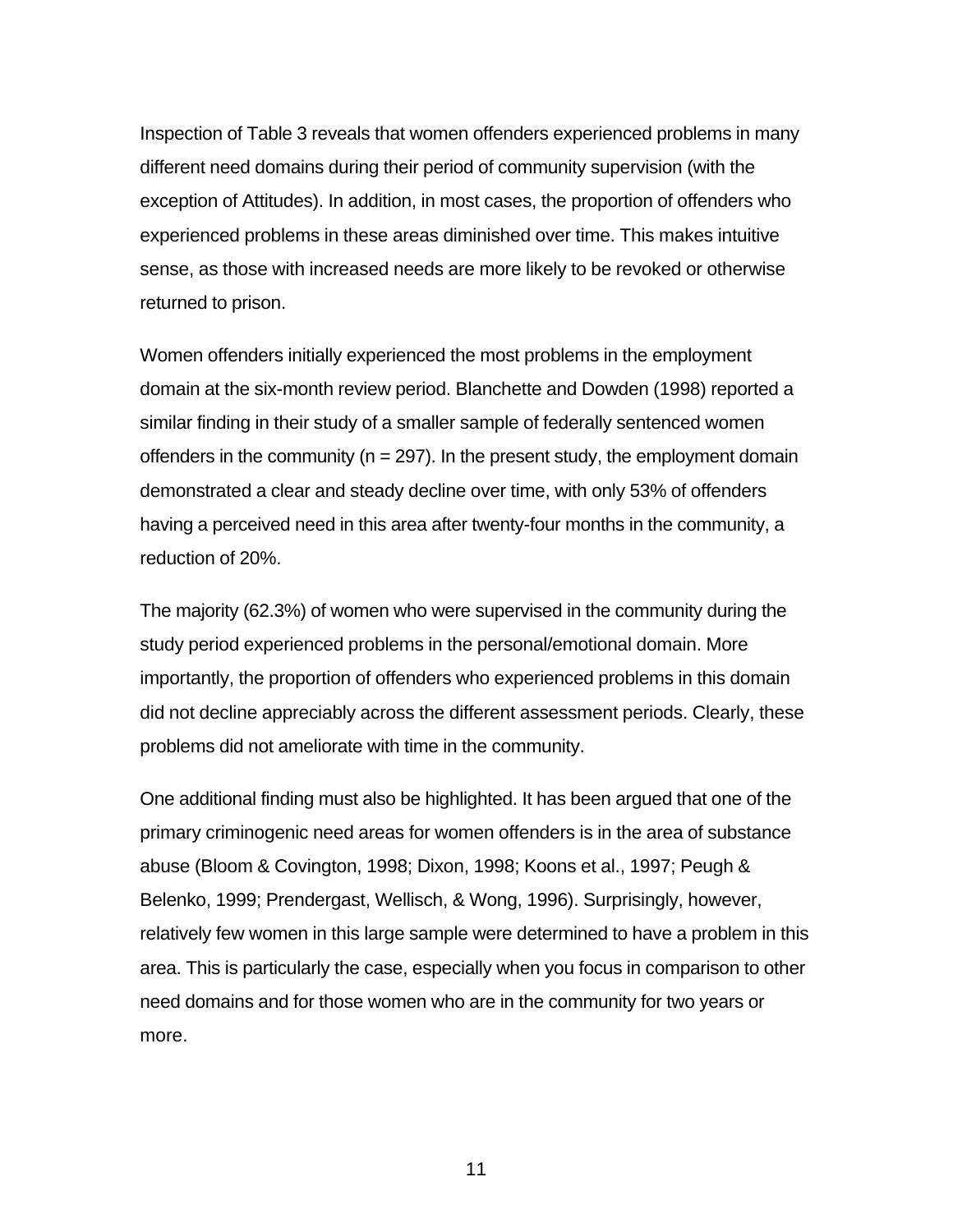Inspection of Table 3 reveals that women offenders experienced problems in many different need domains during their period of community supervision (with the exception of Attitudes). In addition, in most cases, the proportion of offenders who experienced problems in these areas diminished over time. This makes intuitive sense, as those with increased needs are more likely to be revoked or otherwise returned to prison.

Women offenders initially experienced the most problems in the employment domain at the six-month review period. Blanchette and Dowden (1998) reported a similar finding in their study of a smaller sample of federally sentenced women offenders in the community ( $n = 297$ ). In the present study, the employment domain demonstrated a clear and steady decline over time, with only 53% of offenders having a perceived need in this area after twenty-four months in the community, a reduction of 20%.

The majority (62.3%) of women who were supervised in the community during the study period experienced problems in the personal/emotional domain. More importantly, the proportion of offenders who experienced problems in this domain did not decline appreciably across the different assessment periods. Clearly, these problems did not ameliorate with time in the community.

One additional finding must also be highlighted. It has been argued that one of the primary criminogenic need areas for women offenders is in the area of substance abuse (Bloom & Covington, 1998; Dixon, 1998; Koons et al., 1997; Peugh & Belenko, 1999; Prendergast, Wellisch, & Wong, 1996). Surprisingly, however, relatively few women in this large sample were determined to have a problem in this area. This is particularly the case, especially when you focus in comparison to other need domains and for those women who are in the community for two years or more.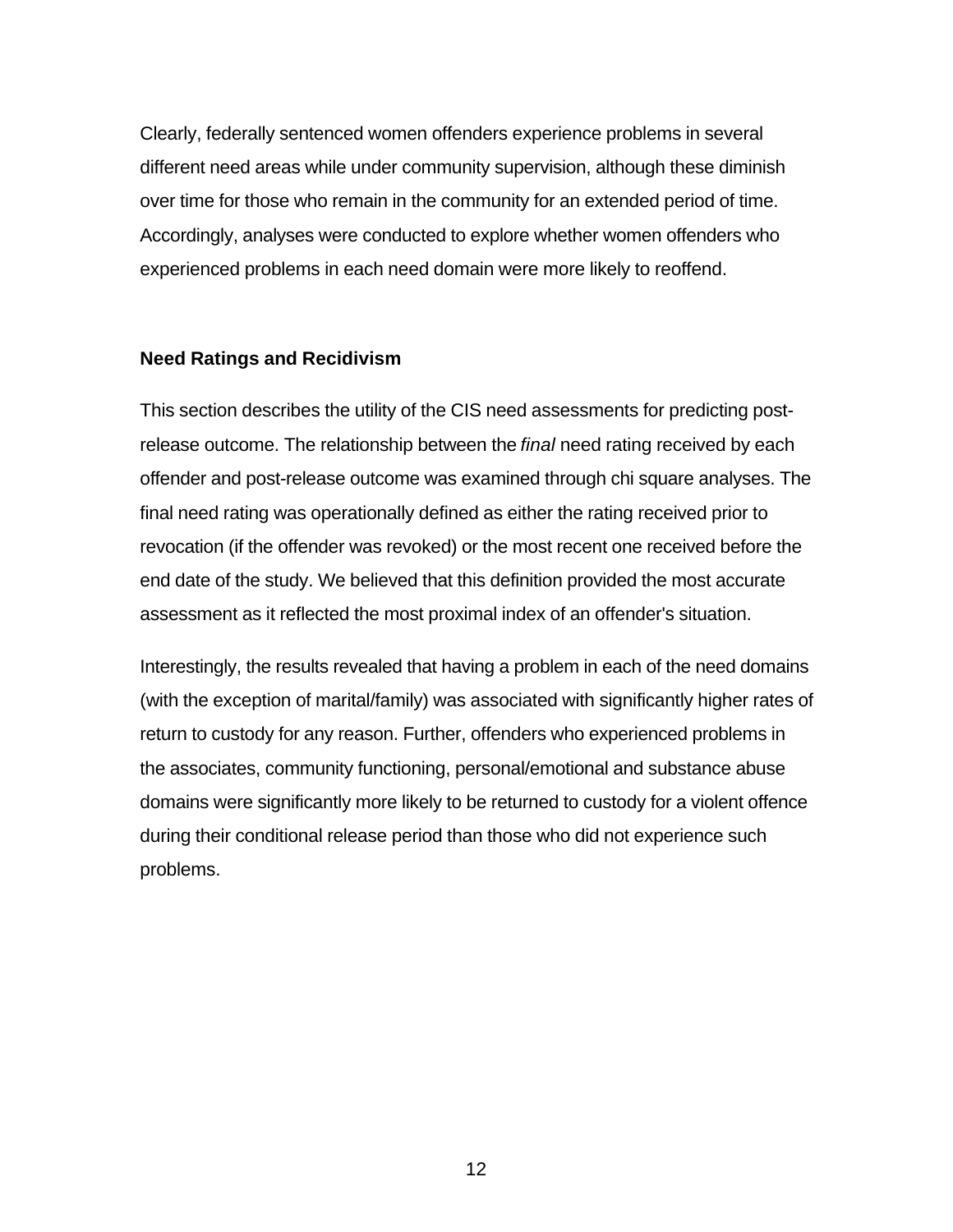Clearly, federally sentenced women offenders experience problems in several different need areas while under community supervision, although these diminish over time for those who remain in the community for an extended period of time. Accordingly, analyses were conducted to explore whether women offenders who experienced problems in each need domain were more likely to reoffend.

### **Need Ratings and Recidivism**

This section describes the utility of the CIS need assessments for predicting postrelease outcome. The relationship between the *final* need rating received by each offender and post-release outcome was examined through chi square analyses. The final need rating was operationally defined as either the rating received prior to revocation (if the offender was revoked) or the most recent one received before the end date of the study. We believed that this definition provided the most accurate assessment as it reflected the most proximal index of an offender's situation.

Interestingly, the results revealed that having a problem in each of the need domains (with the exception of marital/family) was associated with significantly higher rates of return to custody for any reason. Further, offenders who experienced problems in the associates, community functioning, personal/emotional and substance abuse domains were significantly more likely to be returned to custody for a violent offence during their conditional release period than those who did not experience such problems.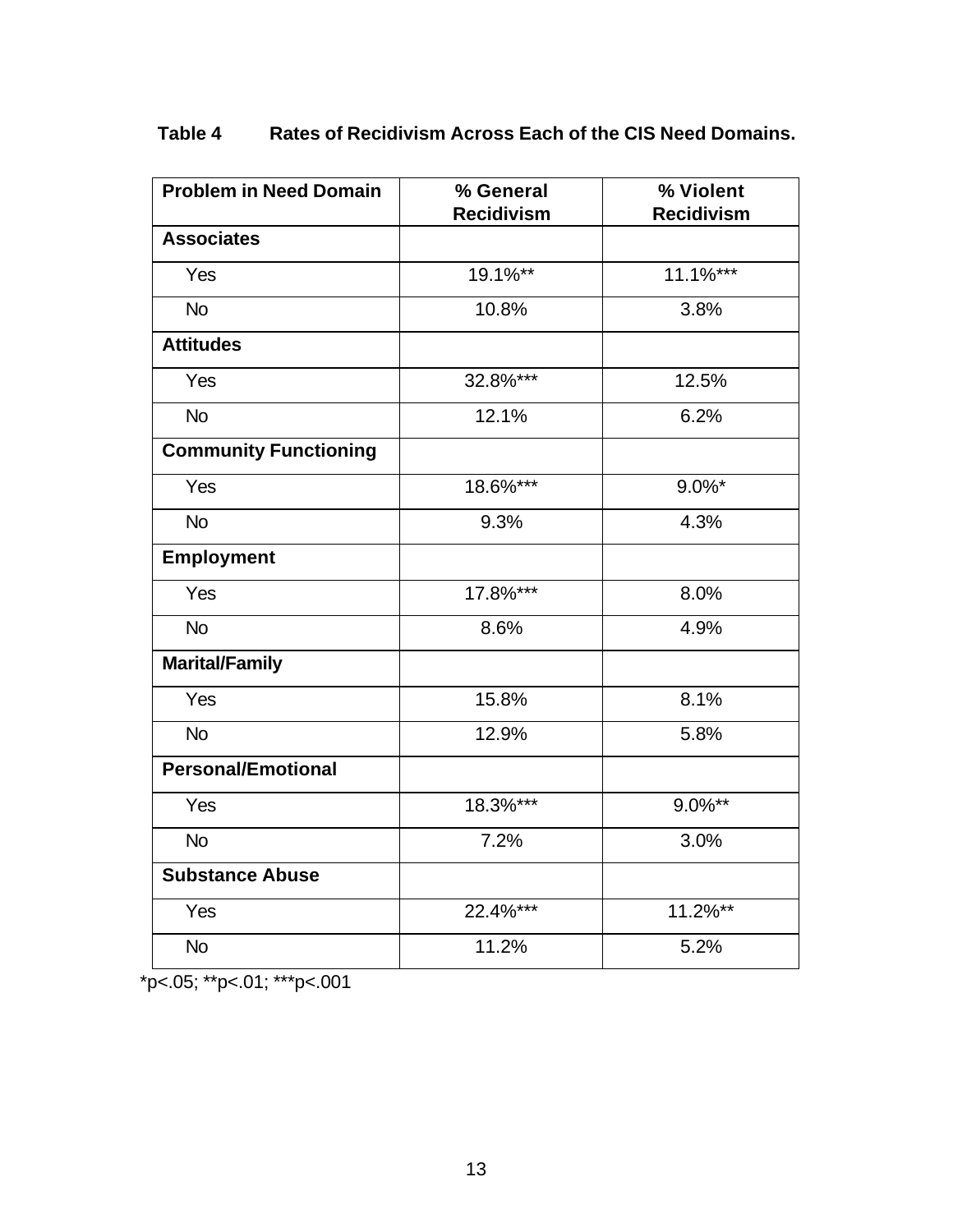| <b>Problem in Need Domain</b> | % General         | % Violent         |  |
|-------------------------------|-------------------|-------------------|--|
|                               | <b>Recidivism</b> | <b>Recidivism</b> |  |
| <b>Associates</b>             |                   |                   |  |
| Yes                           | 19.1%**           | $11.1%$ ***       |  |
| <b>No</b>                     | 10.8%             | 3.8%              |  |
| <b>Attitudes</b>              |                   |                   |  |
| Yes                           | 32.8%***          | 12.5%             |  |
| <b>No</b>                     | 12.1%             | 6.2%              |  |
| <b>Community Functioning</b>  |                   |                   |  |
| Yes                           | 18.6%***          | $9.0\%$ *         |  |
| <b>No</b>                     | 9.3%              | 4.3%              |  |
| <b>Employment</b>             |                   |                   |  |
| Yes                           | 17.8%***          | 8.0%              |  |
| <b>No</b>                     | 8.6%              | 4.9%              |  |
| <b>Marital/Family</b>         |                   |                   |  |
| Yes                           | 15.8%             | 8.1%              |  |
| <b>No</b>                     | 12.9%             | 5.8%              |  |
| <b>Personal/Emotional</b>     |                   |                   |  |
| Yes                           | 18.3%***          | $9.0\%**$         |  |
| <b>No</b>                     | 7.2%              | 3.0%              |  |
| <b>Substance Abuse</b>        |                   |                   |  |
| Yes                           | $22.4\%***$       | $11.2\%**$        |  |
| <b>No</b>                     | 11.2%             | 5.2%              |  |

# **Table 4 Rates of Recidivism Across Each of the CIS Need Domains.**

\*p<.05; \*\*p<.01; \*\*\*p<.001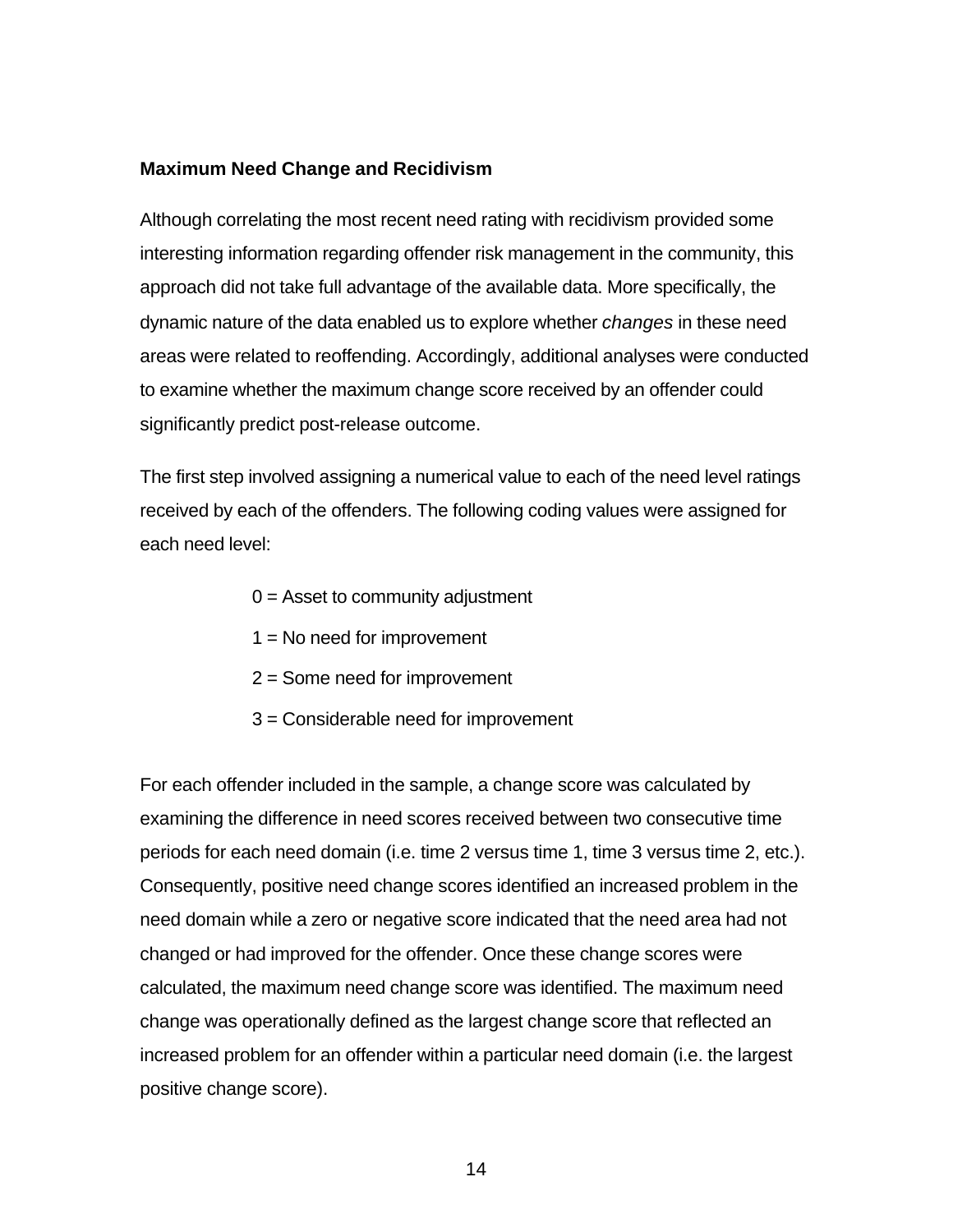### **Maximum Need Change and Recidivism**

Although correlating the most recent need rating with recidivism provided some interesting information regarding offender risk management in the community, this approach did not take full advantage of the available data. More specifically, the dynamic nature of the data enabled us to explore whether *changes* in these need areas were related to reoffending. Accordingly, additional analyses were conducted to examine whether the maximum change score received by an offender could significantly predict post-release outcome.

The first step involved assigning a numerical value to each of the need level ratings received by each of the offenders. The following coding values were assigned for each need level:

- $0 =$  Asset to community adjustment
- $1 = No$  need for improvement
- 2 = Some need for improvement
- 3 = Considerable need for improvement

For each offender included in the sample, a change score was calculated by examining the difference in need scores received between two consecutive time periods for each need domain (i.e. time 2 versus time 1, time 3 versus time 2, etc.). Consequently, positive need change scores identified an increased problem in the need domain while a zero or negative score indicated that the need area had not changed or had improved for the offender. Once these change scores were calculated, the maximum need change score was identified. The maximum need change was operationally defined as the largest change score that reflected an increased problem for an offender within a particular need domain (i.e. the largest positive change score).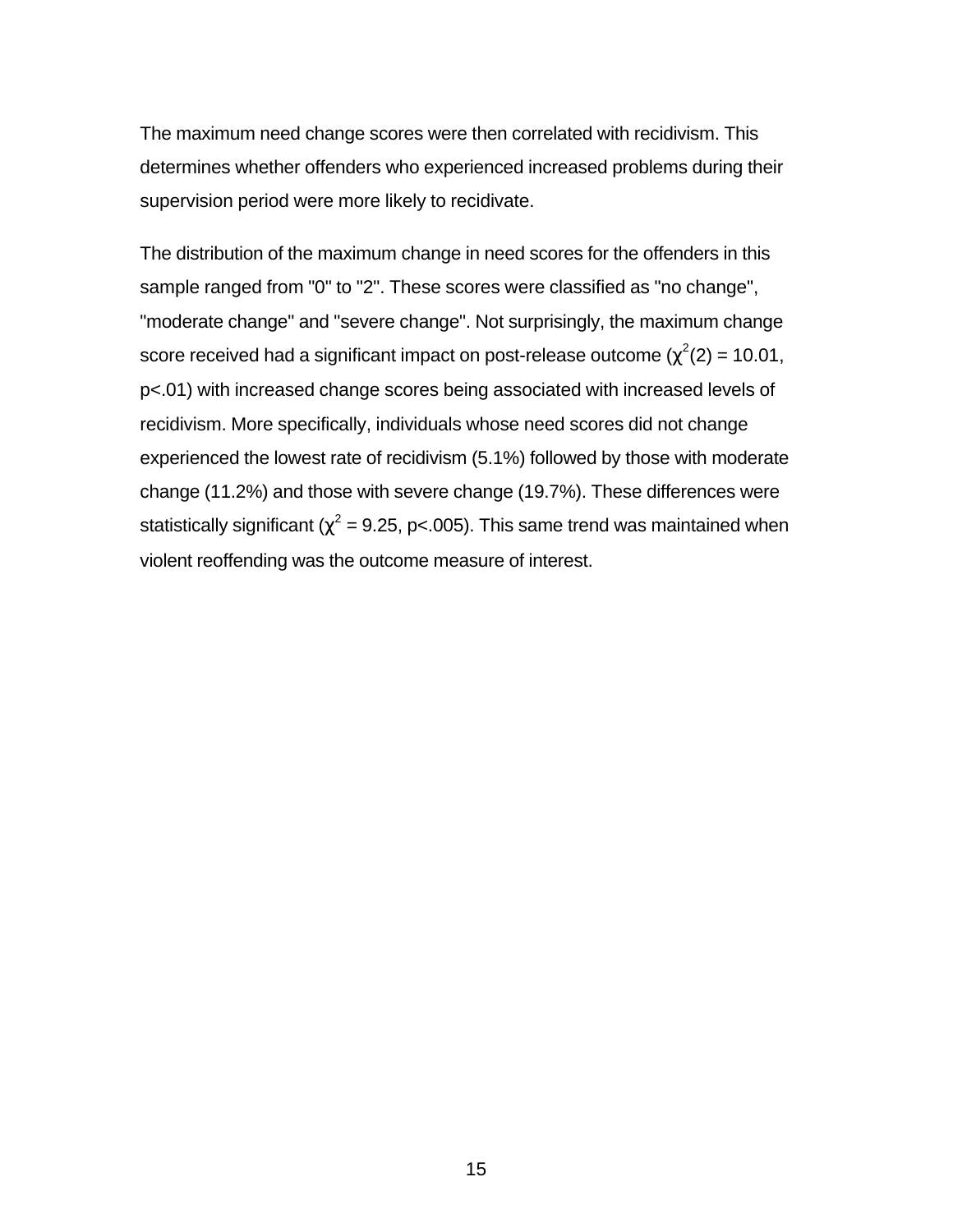The maximum need change scores were then correlated with recidivism. This determines whether offenders who experienced increased problems during their supervision period were more likely to recidivate.

The distribution of the maximum change in need scores for the offenders in this sample ranged from "0" to "2". These scores were classified as "no change", "moderate change" and "severe change". Not surprisingly, the maximum change score received had a significant impact on post-release outcome ( $\chi^2(2)$  = 10.01, p<.01) with increased change scores being associated with increased levels of recidivism. More specifically, individuals whose need scores did not change experienced the lowest rate of recidivism (5.1%) followed by those with moderate change (11.2%) and those with severe change (19.7%). These differences were statistically significant ( $\chi^2$  = 9.25, p<.005). This same trend was maintained when violent reoffending was the outcome measure of interest.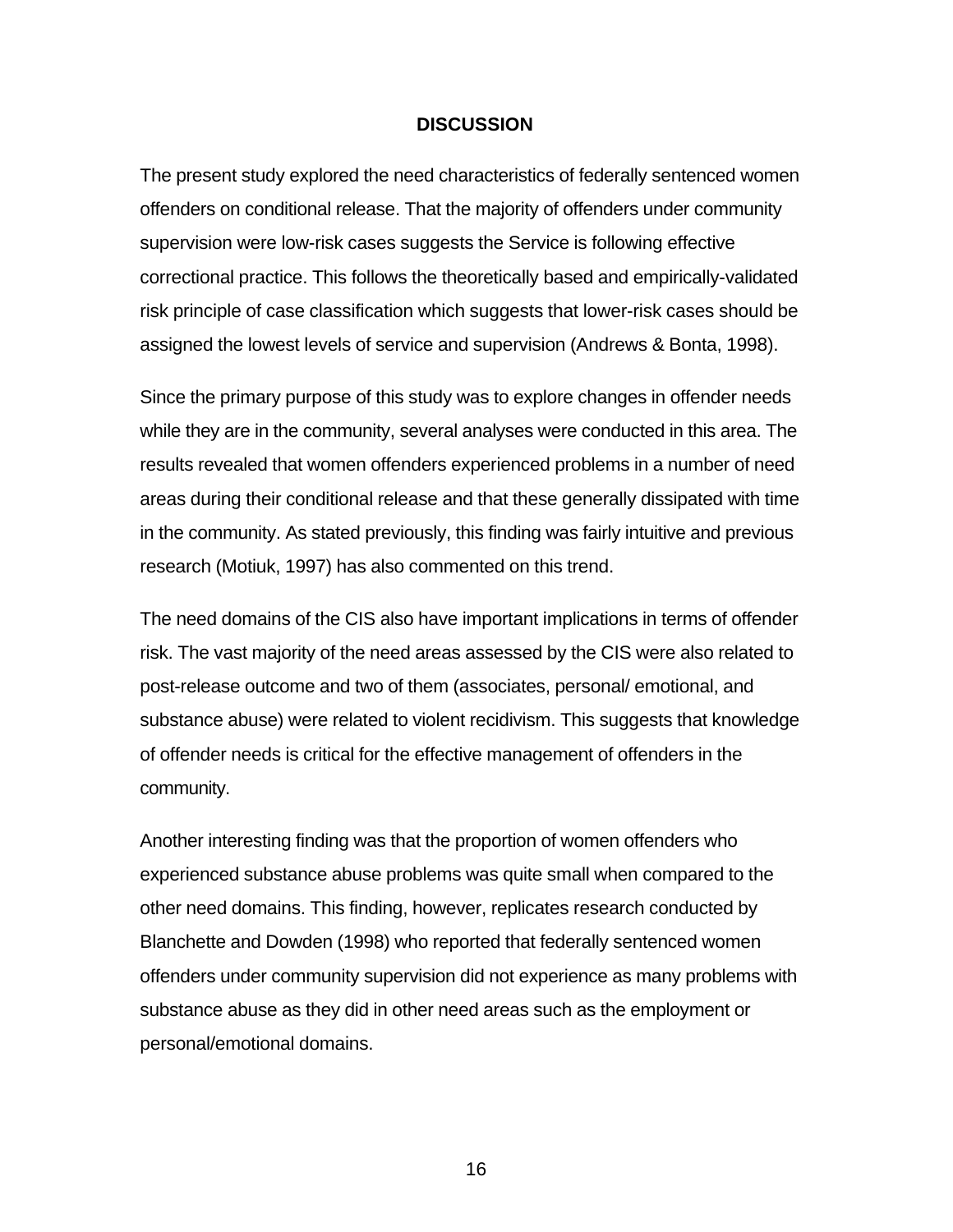#### **DISCUSSION**

The present study explored the need characteristics of federally sentenced women offenders on conditional release. That the majority of offenders under community supervision were low-risk cases suggests the Service is following effective correctional practice. This follows the theoretically based and empirically-validated risk principle of case classification which suggests that lower-risk cases should be assigned the lowest levels of service and supervision (Andrews & Bonta, 1998).

Since the primary purpose of this study was to explore changes in offender needs while they are in the community, several analyses were conducted in this area. The results revealed that women offenders experienced problems in a number of need areas during their conditional release and that these generally dissipated with time in the community. As stated previously, this finding was fairly intuitive and previous research (Motiuk, 1997) has also commented on this trend.

The need domains of the CIS also have important implications in terms of offender risk. The vast majority of the need areas assessed by the CIS were also related to post-release outcome and two of them (associates, personal/ emotional, and substance abuse) were related to violent recidivism. This suggests that knowledge of offender needs is critical for the effective management of offenders in the community.

Another interesting finding was that the proportion of women offenders who experienced substance abuse problems was quite small when compared to the other need domains. This finding, however, replicates research conducted by Blanchette and Dowden (1998) who reported that federally sentenced women offenders under community supervision did not experience as many problems with substance abuse as they did in other need areas such as the employment or personal/emotional domains.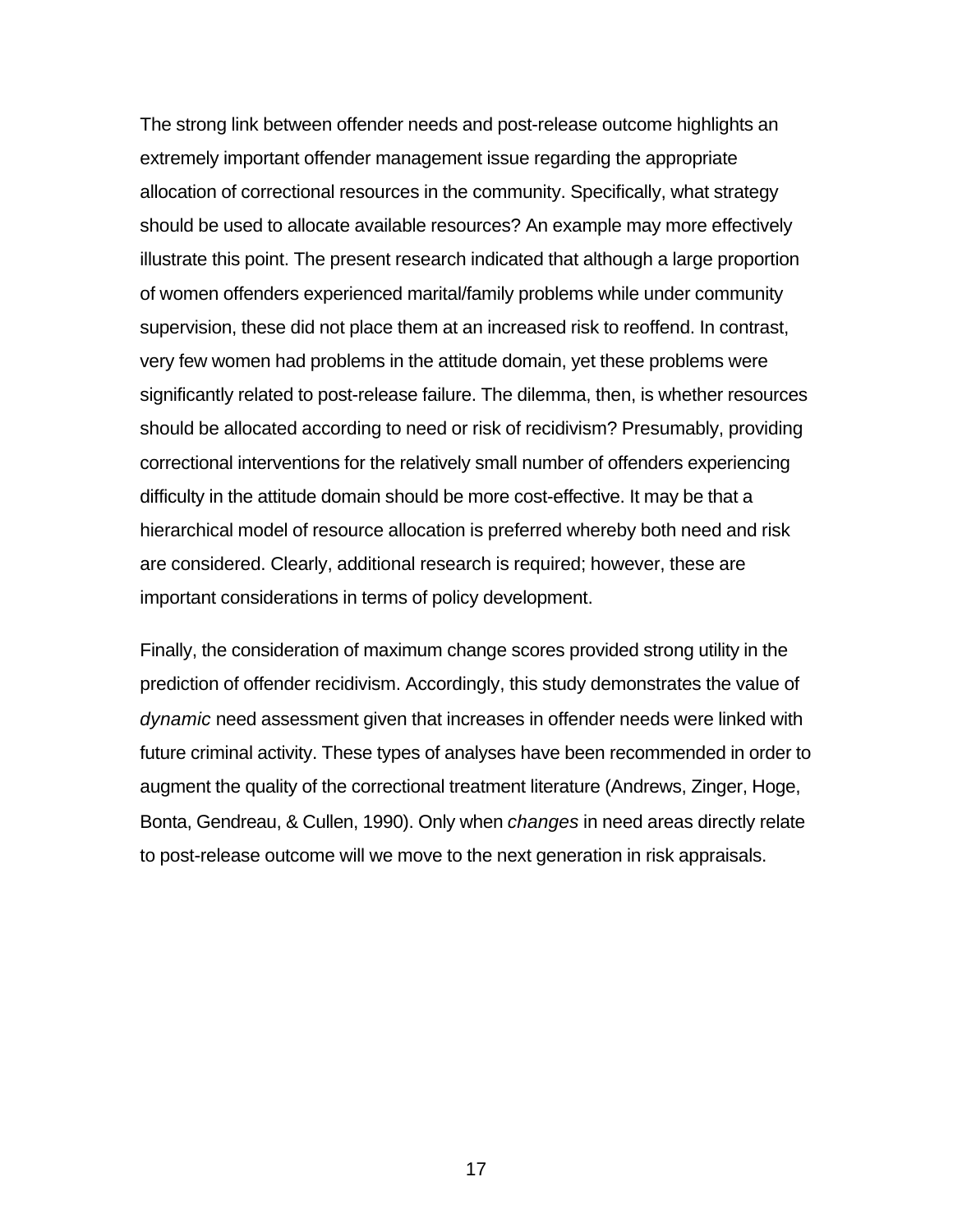The strong link between offender needs and post-release outcome highlights an extremely important offender management issue regarding the appropriate allocation of correctional resources in the community. Specifically, what strategy should be used to allocate available resources? An example may more effectively illustrate this point. The present research indicated that although a large proportion of women offenders experienced marital/family problems while under community supervision, these did not place them at an increased risk to reoffend. In contrast, very few women had problems in the attitude domain, yet these problems were significantly related to post-release failure. The dilemma, then, is whether resources should be allocated according to need or risk of recidivism? Presumably, providing correctional interventions for the relatively small number of offenders experiencing difficulty in the attitude domain should be more cost-effective. It may be that a hierarchical model of resource allocation is preferred whereby both need and risk are considered. Clearly, additional research is required; however, these are important considerations in terms of policy development.

Finally, the consideration of maximum change scores provided strong utility in the prediction of offender recidivism. Accordingly, this study demonstrates the value of *dynamic* need assessment given that increases in offender needs were linked with future criminal activity. These types of analyses have been recommended in order to augment the quality of the correctional treatment literature (Andrews, Zinger, Hoge, Bonta, Gendreau, & Cullen, 1990). Only when *changes* in need areas directly relate to post-release outcome will we move to the next generation in risk appraisals.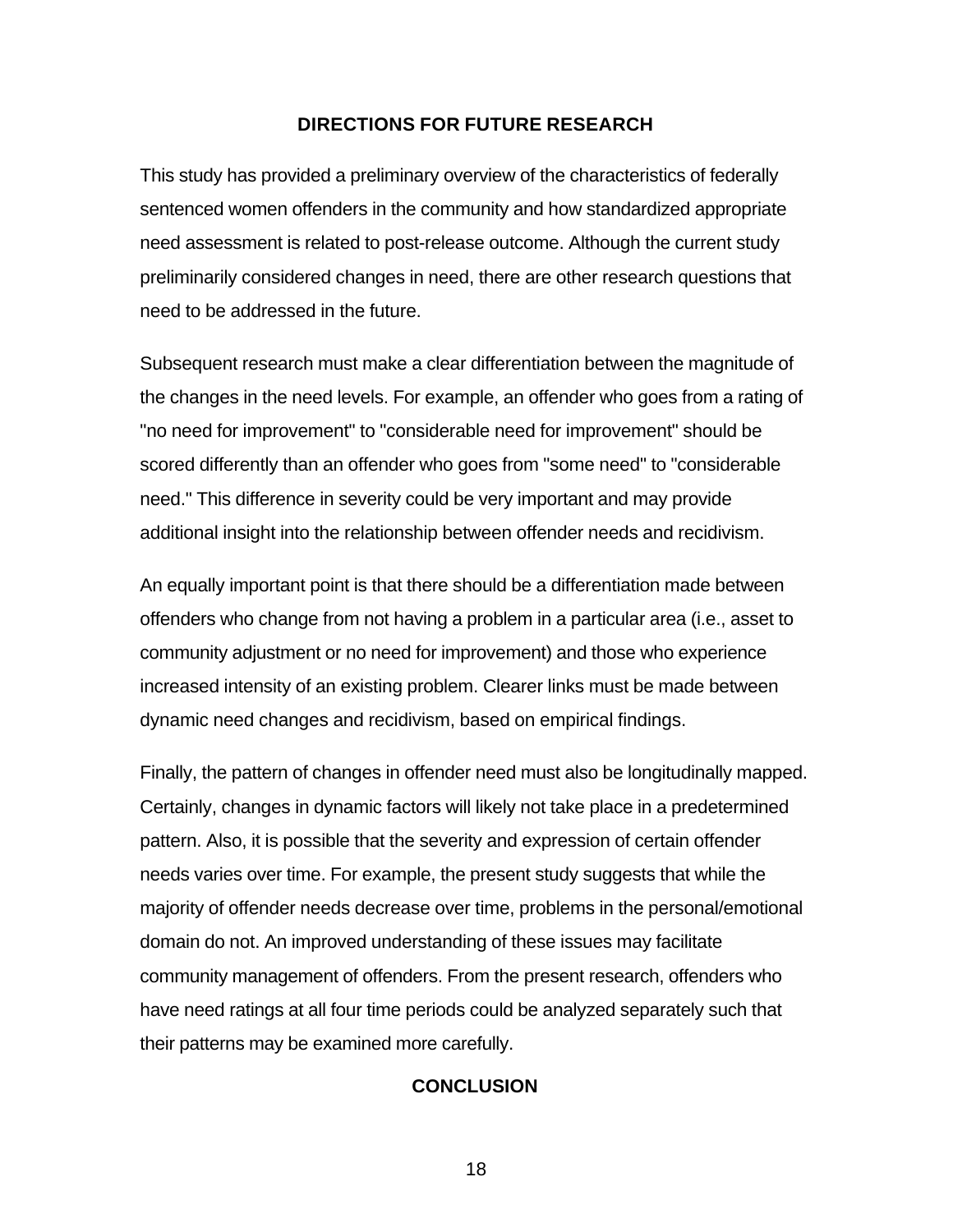### **DIRECTIONS FOR FUTURE RESEARCH**

This study has provided a preliminary overview of the characteristics of federally sentenced women offenders in the community and how standardized appropriate need assessment is related to post-release outcome. Although the current study preliminarily considered changes in need, there are other research questions that need to be addressed in the future.

Subsequent research must make a clear differentiation between the magnitude of the changes in the need levels. For example, an offender who goes from a rating of "no need for improvement" to "considerable need for improvement" should be scored differently than an offender who goes from "some need" to "considerable need." This difference in severity could be very important and may provide additional insight into the relationship between offender needs and recidivism.

An equally important point is that there should be a differentiation made between offenders who change from not having a problem in a particular area (i.e., asset to community adjustment or no need for improvement) and those who experience increased intensity of an existing problem. Clearer links must be made between dynamic need changes and recidivism, based on empirical findings.

Finally, the pattern of changes in offender need must also be longitudinally mapped. Certainly, changes in dynamic factors will likely not take place in a predetermined pattern. Also, it is possible that the severity and expression of certain offender needs varies over time. For example, the present study suggests that while the majority of offender needs decrease over time, problems in the personal/emotional domain do not. An improved understanding of these issues may facilitate community management of offenders. From the present research, offenders who have need ratings at all four time periods could be analyzed separately such that their patterns may be examined more carefully.

### **CONCLUSION**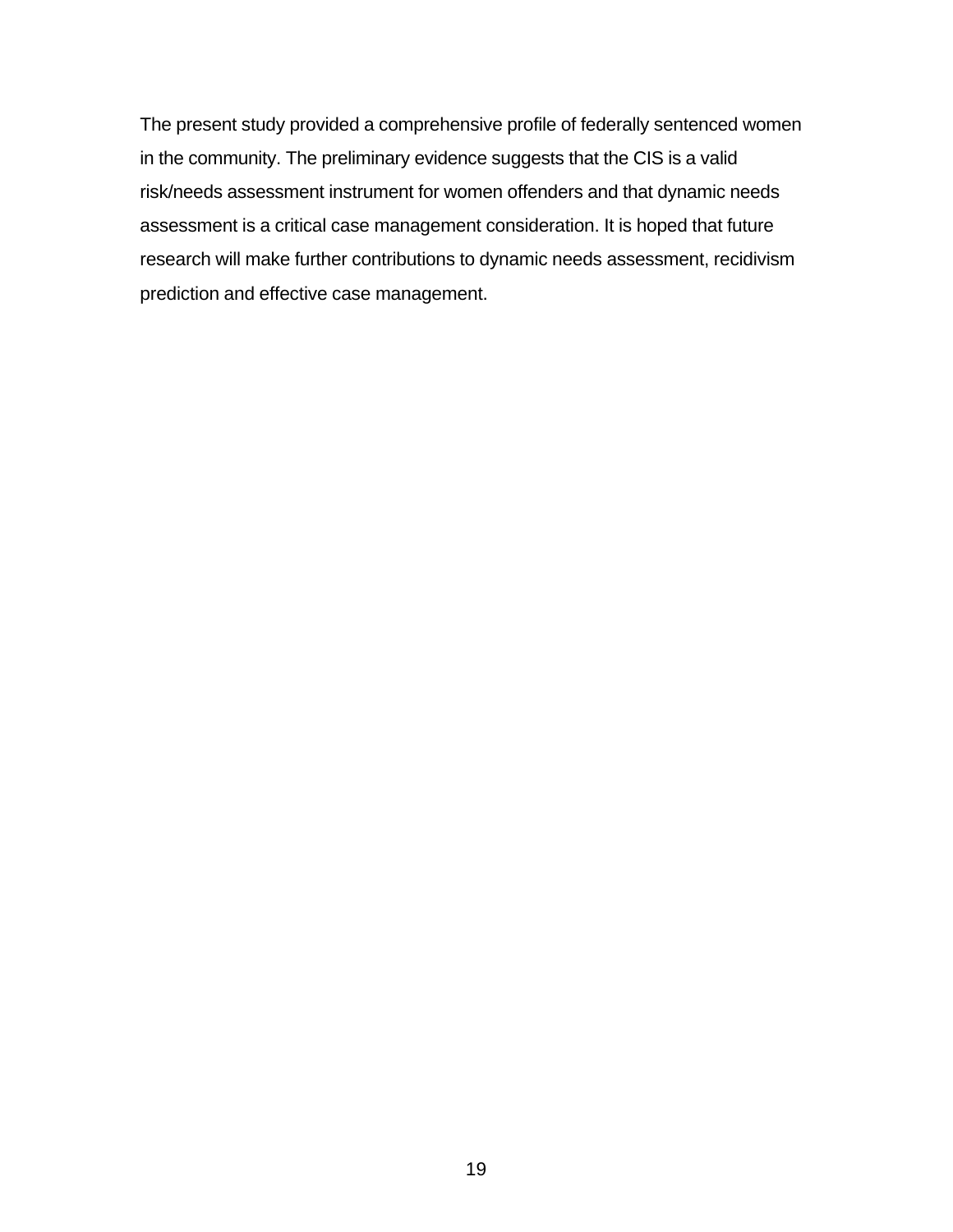The present study provided a comprehensive profile of federally sentenced women in the community. The preliminary evidence suggests that the CIS is a valid risk/needs assessment instrument for women offenders and that dynamic needs assessment is a critical case management consideration. It is hoped that future research will make further contributions to dynamic needs assessment, recidivism prediction and effective case management.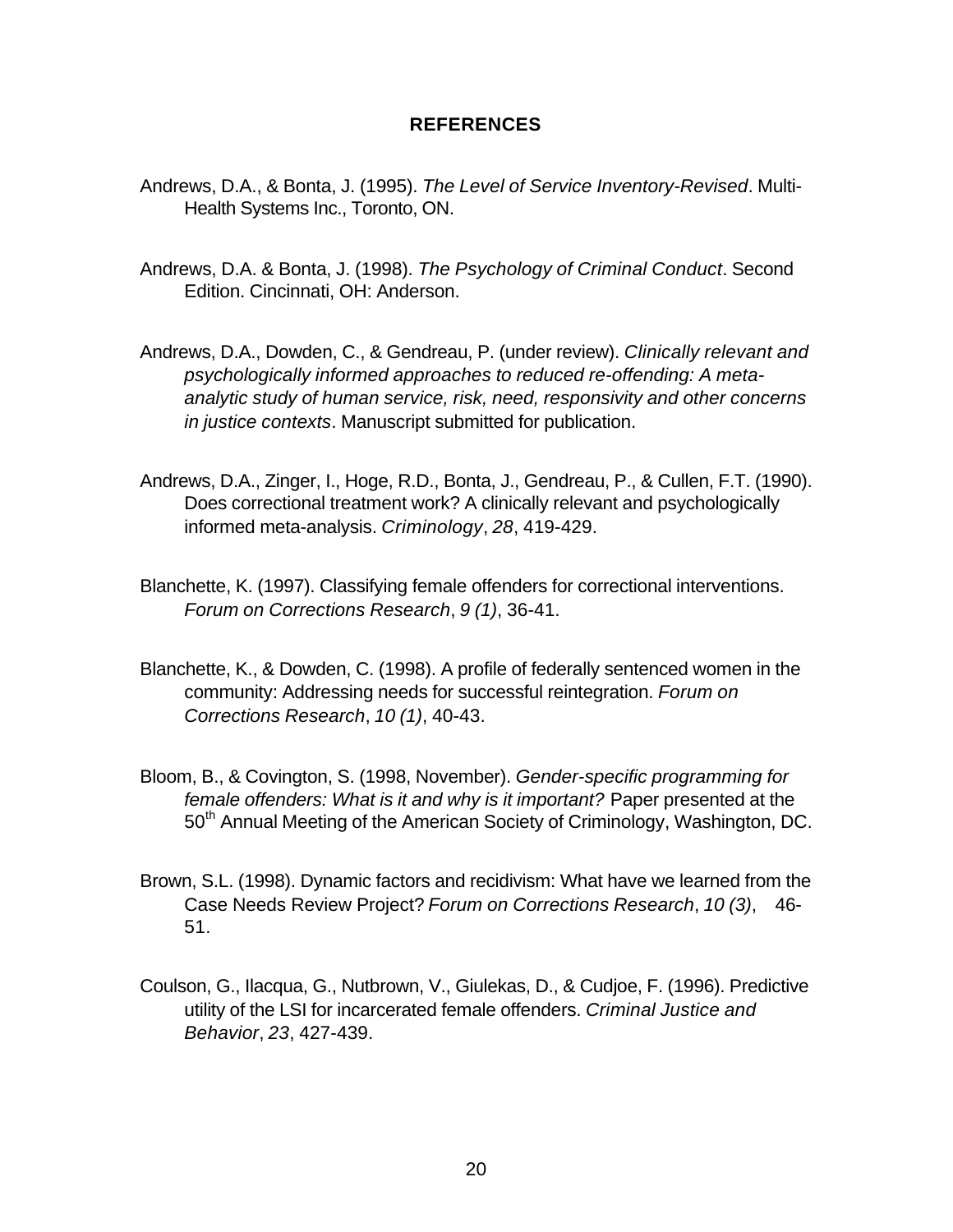### **REFERENCES**

- Andrews, D.A., & Bonta, J. (1995). *The Level of Service Inventory-Revised*. Multi-Health Systems Inc., Toronto, ON.
- Andrews, D.A. & Bonta, J. (1998). *The Psychology of Criminal Conduct*. Second Edition. Cincinnati, OH: Anderson.
- Andrews, D.A., Dowden, C., & Gendreau, P. (under review). *Clinically relevant and psychologically informed approaches to reduced re-offending: A metaanalytic study of human service, risk, need, responsivity and other concerns in justice contexts*. Manuscript submitted for publication.
- Andrews, D.A., Zinger, I., Hoge, R.D., Bonta, J., Gendreau, P., & Cullen, F.T. (1990). Does correctional treatment work? A clinically relevant and psychologically informed meta-analysis. *Criminology*, *28*, 419-429.
- Blanchette, K. (1997). Classifying female offenders for correctional interventions. *Forum on Corrections Research*, *9 (1)*, 36-41.
- Blanchette, K., & Dowden, C. (1998). A profile of federally sentenced women in the community: Addressing needs for successful reintegration. *Forum on Corrections Research*, *10 (1)*, 40-43.
- Bloom, B., & Covington, S. (1998, November). *Gender-specific programming for female offenders: What is it and why is it important?* Paper presented at the 50<sup>th</sup> Annual Meeting of the American Society of Criminology, Washington, DC.
- Brown, S.L. (1998). Dynamic factors and recidivism: What have we learned from the Case Needs Review Project? *Forum on Corrections Research*, *10 (3)*, 46- 51.
- Coulson, G., Ilacqua, G., Nutbrown, V., Giulekas, D., & Cudjoe, F. (1996). Predictive utility of the LSI for incarcerated female offenders. *Criminal Justice and Behavior*, *23*, 427-439.